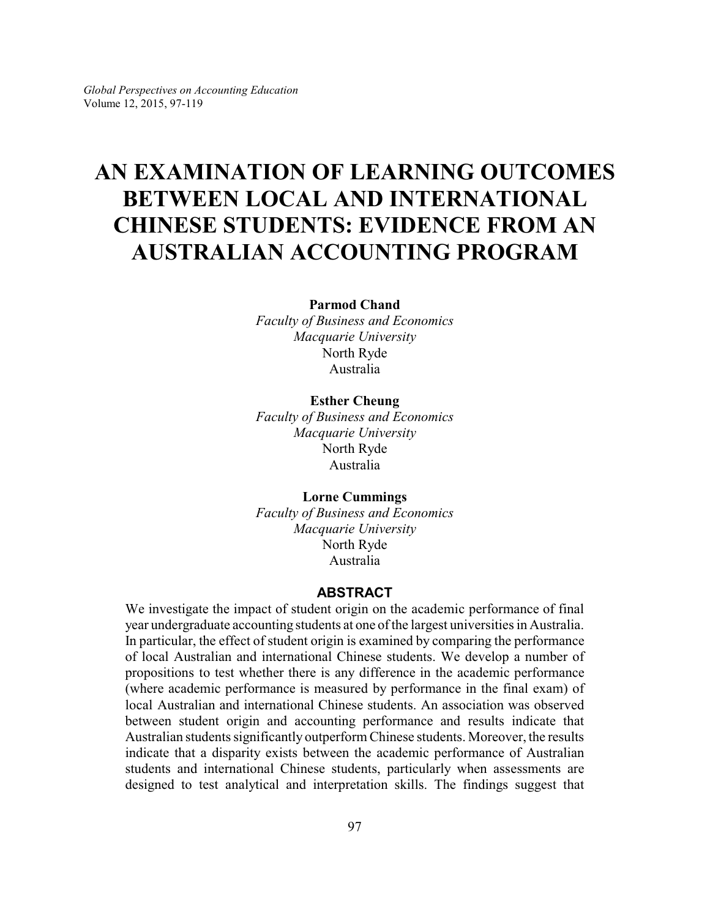# **AN EXAMINATION OF LEARNING OUTCOMES BETWEEN LOCAL AND INTERNATIONAL CHINESE STUDENTS: EVIDENCE FROM AN AUSTRALIAN ACCOUNTING PROGRAM**

**Parmod Chand**

*Faculty of Business and Economics Macquarie University* North Ryde Australia

### **Esther Cheung**

*Faculty of Business and Economics Macquarie University* North Ryde Australia

**Lorne Cummings** *Faculty of Business and Economics Macquarie University* North Ryde Australia

# **ABSTRACT**

We investigate the impact of student origin on the academic performance of final year undergraduate accounting students at one of the largest universities in Australia. In particular, the effect of student origin is examined by comparing the performance of local Australian and international Chinese students. We develop a number of propositions to test whether there is any difference in the academic performance (where academic performance is measured by performance in the final exam) of local Australian and international Chinese students. An association was observed between student origin and accounting performance and results indicate that Australian students significantly outperform Chinese students. Moreover, the results indicate that a disparity exists between the academic performance of Australian students and international Chinese students, particularly when assessments are designed to test analytical and interpretation skills. The findings suggest that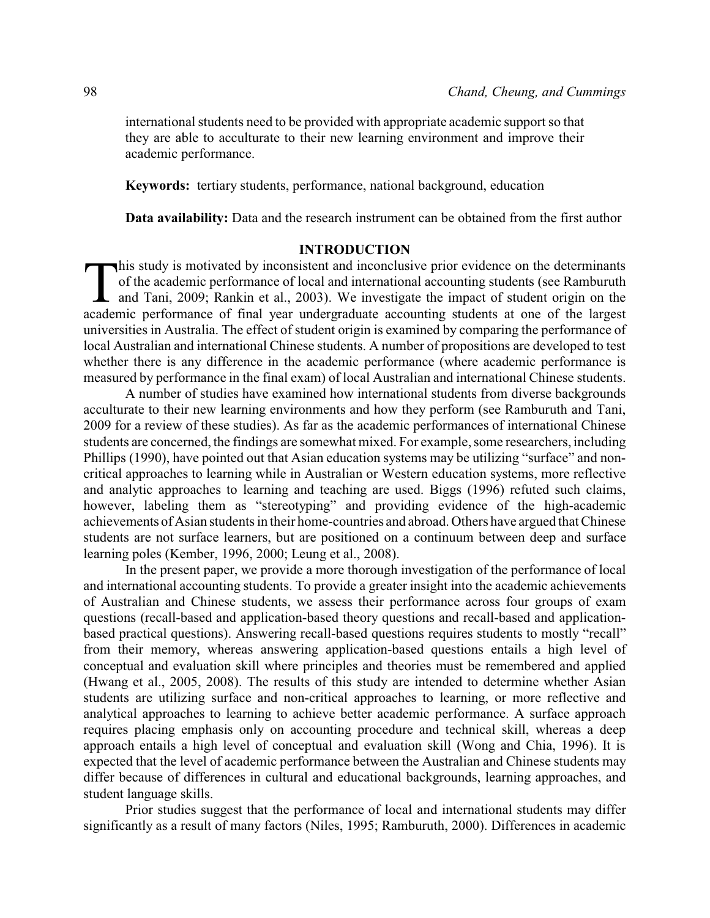international students need to be provided with appropriate academic support so that they are able to acculturate to their new learning environment and improve their academic performance.

**Keywords:** tertiary students, performance, national background, education

**Data availability:** Data and the research instrument can be obtained from the first author

# **INTRODUCTION**

This study is motivated by inconsistent and inconclusive prior evidence on the determinants of the academic performance of local and international accounting students (see Ramburuth and Tani, 2009; Rankin et al., 2003). We his study is motivated by inconsistent and inconclusive prior evidence on the determinants of the academic performance of local and international accounting students (see Ramburuth **1** and Tani, 2009; Rankin et al., 2003). We investigate the impact of student origin on the universities in Australia. The effect of student origin is examined by comparing the performance of local Australian and international Chinese students. A number of propositions are developed to test whether there is any difference in the academic performance (where academic performance is measured by performance in the final exam) of local Australian and international Chinese students.

A number of studies have examined how international students from diverse backgrounds acculturate to their new learning environments and how they perform (see Ramburuth and Tani, 2009 for a review of these studies). As far as the academic performances of international Chinese students are concerned, the findings are somewhat mixed. For example, some researchers, including Phillips (1990), have pointed out that Asian education systems may be utilizing "surface" and noncritical approaches to learning while in Australian or Western education systems, more reflective and analytic approaches to learning and teaching are used. Biggs (1996) refuted such claims, however, labeling them as "stereotyping" and providing evidence of the high-academic achievements of Asian students in their home-countries and abroad. Others have argued that Chinese students are not surface learners, but are positioned on a continuum between deep and surface learning poles (Kember, 1996, 2000; Leung et al., 2008).

In the present paper, we provide a more thorough investigation of the performance of local and international accounting students. To provide a greater insight into the academic achievements of Australian and Chinese students, we assess their performance across four groups of exam questions (recall-based and application-based theory questions and recall-based and applicationbased practical questions). Answering recall-based questions requires students to mostly "recall" from their memory, whereas answering application-based questions entails a high level of conceptual and evaluation skill where principles and theories must be remembered and applied (Hwang et al., 2005, 2008). The results of this study are intended to determine whether Asian students are utilizing surface and non-critical approaches to learning, or more reflective and analytical approaches to learning to achieve better academic performance. A surface approach requires placing emphasis only on accounting procedure and technical skill, whereas a deep approach entails a high level of conceptual and evaluation skill (Wong and Chia, 1996). It is expected that the level of academic performance between the Australian and Chinese students may differ because of differences in cultural and educational backgrounds, learning approaches, and student language skills.

Prior studies suggest that the performance of local and international students may differ significantly as a result of many factors (Niles, 1995; Ramburuth, 2000). Differences in academic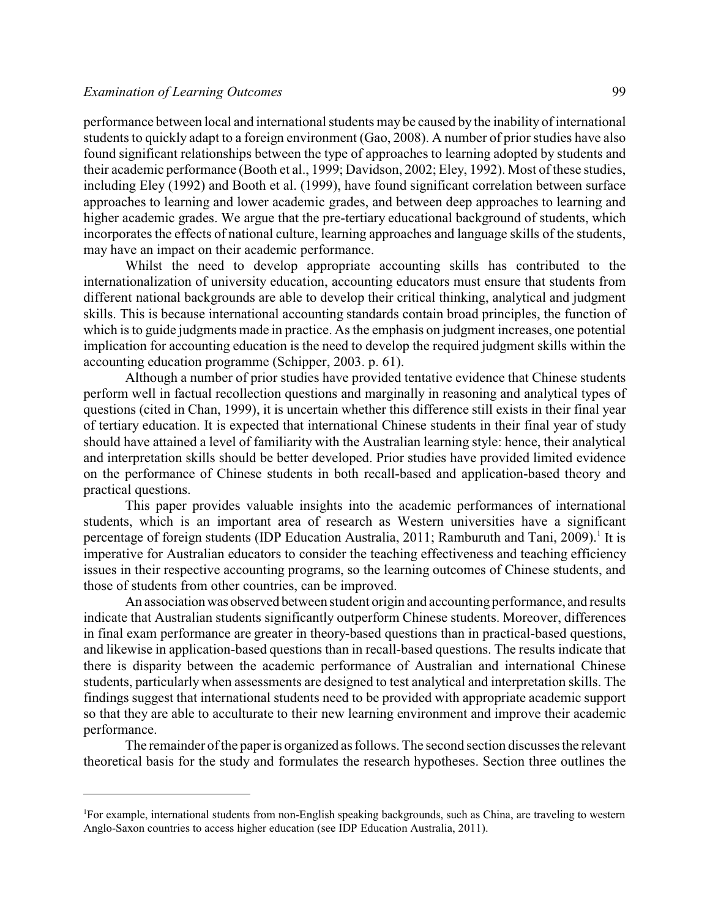performance between local and international students may be caused by the inability of international students to quickly adapt to a foreign environment (Gao, 2008). A number of prior studies have also found significant relationships between the type of approaches to learning adopted by students and their academic performance (Booth et al., 1999; Davidson, 2002; Eley, 1992). Most of these studies, including Eley (1992) and Booth et al. (1999), have found significant correlation between surface approaches to learning and lower academic grades, and between deep approaches to learning and higher academic grades. We argue that the pre-tertiary educational background of students, which incorporates the effects of national culture, learning approaches and language skills of the students, may have an impact on their academic performance.

Whilst the need to develop appropriate accounting skills has contributed to the internationalization of university education, accounting educators must ensure that students from different national backgrounds are able to develop their critical thinking, analytical and judgment skills. This is because international accounting standards contain broad principles, the function of which is to guide judgments made in practice. As the emphasis on judgment increases, one potential implication for accounting education is the need to develop the required judgment skills within the accounting education programme (Schipper, 2003. p. 61).

Although a number of prior studies have provided tentative evidence that Chinese students perform well in factual recollection questions and marginally in reasoning and analytical types of questions (cited in Chan, 1999), it is uncertain whether this difference still exists in their final year of tertiary education. It is expected that international Chinese students in their final year of study should have attained a level of familiarity with the Australian learning style: hence, their analytical and interpretation skills should be better developed. Prior studies have provided limited evidence on the performance of Chinese students in both recall-based and application-based theory and practical questions.

This paper provides valuable insights into the academic performances of international students, which is an important area of research as Western universities have a significant percentage of foreign students (IDP Education Australia, 2011; Ramburuth and Tani, 2009).<sup>1</sup> It is imperative for Australian educators to consider the teaching effectiveness and teaching efficiency issues in their respective accounting programs, so the learning outcomes of Chinese students, and those of students from other countries, can be improved.

An association was observed between student origin and accounting performance, and results indicate that Australian students significantly outperform Chinese students. Moreover, differences in final exam performance are greater in theory-based questions than in practical-based questions, and likewise in application-based questions than in recall-based questions. The results indicate that there is disparity between the academic performance of Australian and international Chinese students, particularly when assessments are designed to test analytical and interpretation skills. The findings suggest that international students need to be provided with appropriate academic support so that they are able to acculturate to their new learning environment and improve their academic performance.

The remainder of the paper is organized as follows. The second section discusses the relevant theoretical basis for the study and formulates the research hypotheses. Section three outlines the

<sup>&</sup>lt;sup>1</sup>For example, international students from non-English speaking backgrounds, such as China, are traveling to western Anglo-Saxon countries to access higher education (see IDP Education Australia, 2011).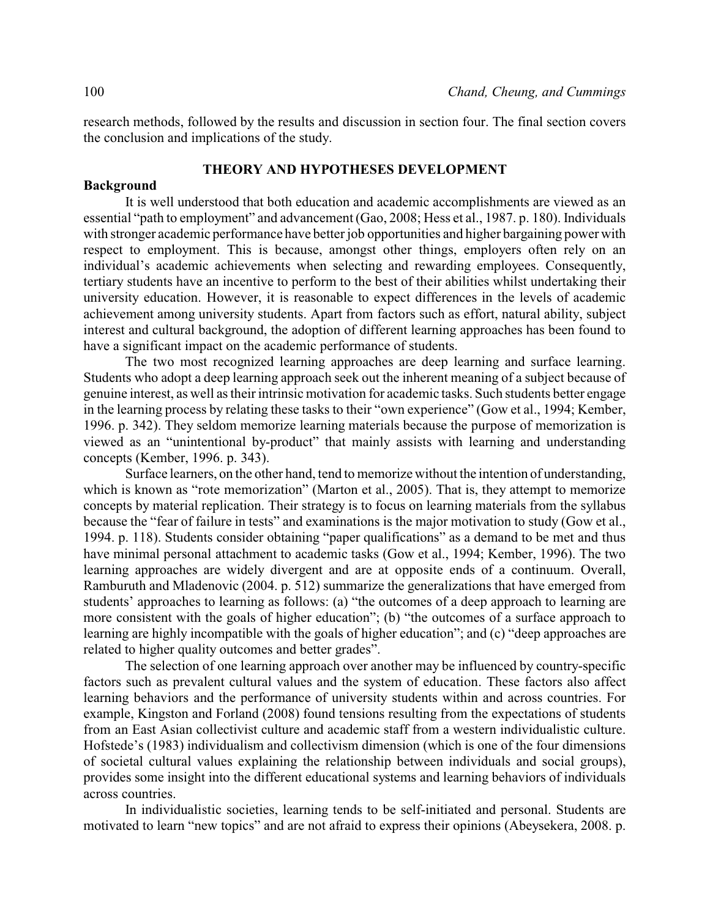research methods, followed by the results and discussion in section four. The final section covers the conclusion and implications of the study.

#### **THEORY AND HYPOTHESES DEVELOPMENT**

#### **Background**

It is well understood that both education and academic accomplishments are viewed as an essential "path to employment" and advancement (Gao, 2008; Hess et al., 1987. p. 180). Individuals with stronger academic performance have better job opportunities and higher bargaining power with respect to employment. This is because, amongst other things, employers often rely on an individual's academic achievements when selecting and rewarding employees. Consequently, tertiary students have an incentive to perform to the best of their abilities whilst undertaking their university education. However, it is reasonable to expect differences in the levels of academic achievement among university students. Apart from factors such as effort, natural ability, subject interest and cultural background, the adoption of different learning approaches has been found to have a significant impact on the academic performance of students.

The two most recognized learning approaches are deep learning and surface learning. Students who adopt a deep learning approach seek out the inherent meaning of a subject because of genuine interest, as well as their intrinsic motivation for academic tasks. Such students better engage in the learning process by relating these tasks to their "own experience" (Gow et al., 1994; Kember, 1996. p. 342). They seldom memorize learning materials because the purpose of memorization is viewed as an "unintentional by-product" that mainly assists with learning and understanding concepts (Kember, 1996. p. 343).

Surface learners, on the other hand, tend to memorize without the intention of understanding, which is known as "rote memorization" (Marton et al., 2005). That is, they attempt to memorize concepts by material replication. Their strategy is to focus on learning materials from the syllabus because the "fear of failure in tests" and examinations is the major motivation to study (Gow et al., 1994. p. 118). Students consider obtaining "paper qualifications" as a demand to be met and thus have minimal personal attachment to academic tasks (Gow et al., 1994; Kember, 1996). The two learning approaches are widely divergent and are at opposite ends of a continuum. Overall, Ramburuth and Mladenovic (2004. p. 512) summarize the generalizations that have emerged from students' approaches to learning as follows: (a) "the outcomes of a deep approach to learning are more consistent with the goals of higher education"; (b) "the outcomes of a surface approach to learning are highly incompatible with the goals of higher education"; and (c) "deep approaches are related to higher quality outcomes and better grades".

The selection of one learning approach over another may be influenced by country-specific factors such as prevalent cultural values and the system of education. These factors also affect learning behaviors and the performance of university students within and across countries. For example, Kingston and Forland (2008) found tensions resulting from the expectations of students from an East Asian collectivist culture and academic staff from a western individualistic culture. Hofstede's (1983) individualism and collectivism dimension (which is one of the four dimensions of societal cultural values explaining the relationship between individuals and social groups), provides some insight into the different educational systems and learning behaviors of individuals across countries.

In individualistic societies, learning tends to be self-initiated and personal. Students are motivated to learn "new topics" and are not afraid to express their opinions (Abeysekera, 2008. p.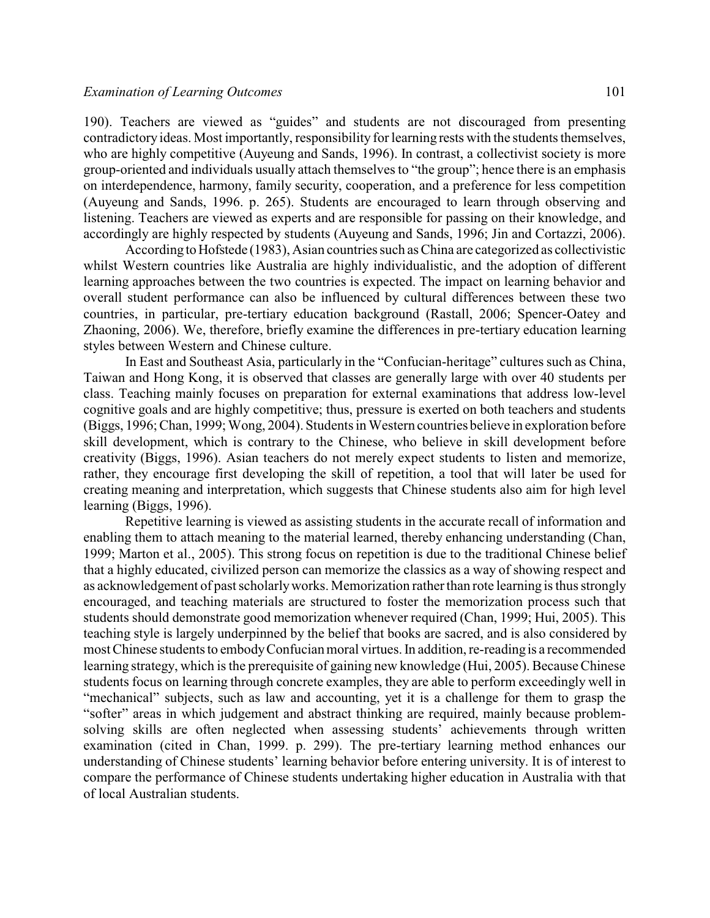190). Teachers are viewed as "guides" and students are not discouraged from presenting contradictory ideas. Most importantly, responsibility for learning rests with the students themselves, who are highly competitive (Auyeung and Sands, 1996). In contrast, a collectivist society is more group-oriented and individuals usually attach themselves to "the group"; hence there is an emphasis on interdependence, harmony, family security, cooperation, and a preference for less competition (Auyeung and Sands, 1996. p. 265). Students are encouraged to learn through observing and listening. Teachers are viewed as experts and are responsible for passing on their knowledge, and accordingly are highly respected by students (Auyeung and Sands, 1996; Jin and Cortazzi, 2006).

According to Hofstede (1983), Asian countries such as China are categorized as collectivistic whilst Western countries like Australia are highly individualistic, and the adoption of different learning approaches between the two countries is expected. The impact on learning behavior and overall student performance can also be influenced by cultural differences between these two countries, in particular, pre-tertiary education background (Rastall, 2006; Spencer-Oatey and Zhaoning, 2006). We, therefore, briefly examine the differences in pre-tertiary education learning styles between Western and Chinese culture.

In East and Southeast Asia, particularly in the "Confucian-heritage" cultures such as China, Taiwan and Hong Kong, it is observed that classes are generally large with over 40 students per class. Teaching mainly focuses on preparation for external examinations that address low-level cognitive goals and are highly competitive; thus, pressure is exerted on both teachers and students (Biggs, 1996; Chan, 1999; Wong, 2004). Students in Western countries believe in exploration before skill development, which is contrary to the Chinese, who believe in skill development before creativity (Biggs, 1996). Asian teachers do not merely expect students to listen and memorize, rather, they encourage first developing the skill of repetition, a tool that will later be used for creating meaning and interpretation, which suggests that Chinese students also aim for high level learning (Biggs, 1996).

Repetitive learning is viewed as assisting students in the accurate recall of information and enabling them to attach meaning to the material learned, thereby enhancing understanding (Chan, 1999; Marton et al., 2005). This strong focus on repetition is due to the traditional Chinese belief that a highly educated, civilized person can memorize the classics as a way of showing respect and as acknowledgement of past scholarlyworks. Memorization rather than rote learning is thus strongly encouraged, and teaching materials are structured to foster the memorization process such that students should demonstrate good memorization whenever required (Chan, 1999; Hui, 2005). This teaching style is largely underpinned by the belief that books are sacred, and is also considered by most Chinese students to embodyConfucian moral virtues. In addition, re-readingis a recommended learning strategy, which is the prerequisite of gaining new knowledge (Hui, 2005). Because Chinese students focus on learning through concrete examples, they are able to perform exceedingly well in "mechanical" subjects, such as law and accounting, yet it is a challenge for them to grasp the "softer" areas in which judgement and abstract thinking are required, mainly because problemsolving skills are often neglected when assessing students' achievements through written examination (cited in Chan, 1999. p. 299). The pre-tertiary learning method enhances our understanding of Chinese students' learning behavior before entering university. It is of interest to compare the performance of Chinese students undertaking higher education in Australia with that of local Australian students.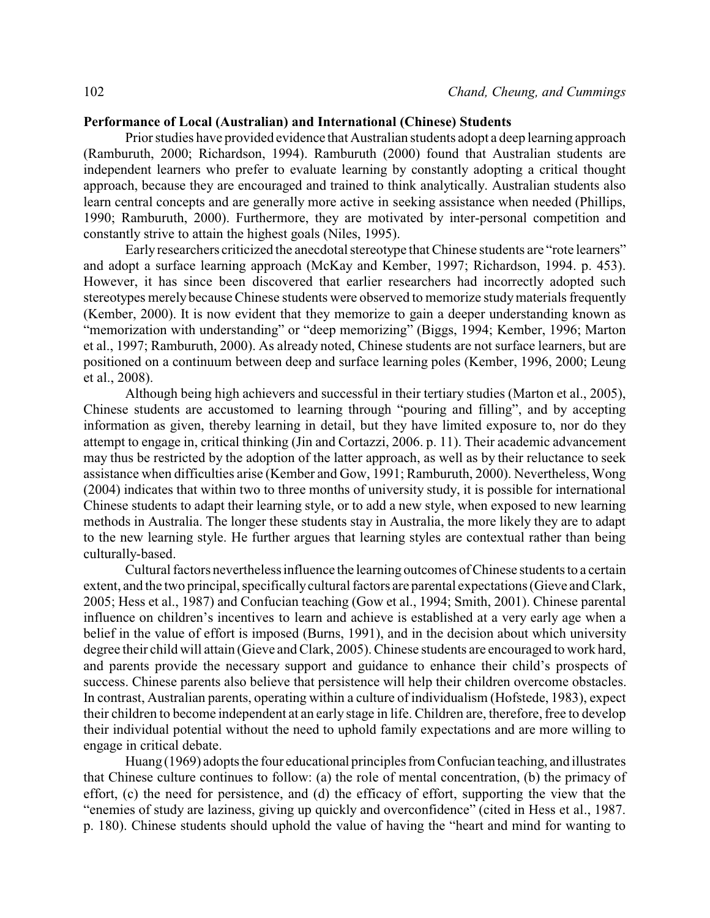### **Performance of Local (Australian) and International (Chinese) Students**

Prior studies have provided evidence that Australian students adopt a deep learning approach (Ramburuth, 2000; Richardson, 1994). Ramburuth (2000) found that Australian students are independent learners who prefer to evaluate learning by constantly adopting a critical thought approach, because they are encouraged and trained to think analytically. Australian students also learn central concepts and are generally more active in seeking assistance when needed (Phillips, 1990; Ramburuth, 2000). Furthermore, they are motivated by inter-personal competition and constantly strive to attain the highest goals (Niles, 1995).

Early researchers criticized the anecdotal stereotype that Chinese students are "rote learners" and adopt a surface learning approach (McKay and Kember, 1997; Richardson, 1994. p. 453). However, it has since been discovered that earlier researchers had incorrectly adopted such stereotypes merely because Chinese students were observed to memorize studymaterials frequently (Kember, 2000). It is now evident that they memorize to gain a deeper understanding known as "memorization with understanding" or "deep memorizing" (Biggs, 1994; Kember, 1996; Marton et al., 1997; Ramburuth, 2000). As already noted, Chinese students are not surface learners, but are positioned on a continuum between deep and surface learning poles (Kember, 1996, 2000; Leung et al., 2008).

Although being high achievers and successful in their tertiary studies (Marton et al., 2005), Chinese students are accustomed to learning through "pouring and filling", and by accepting information as given, thereby learning in detail, but they have limited exposure to, nor do they attempt to engage in, critical thinking (Jin and Cortazzi, 2006. p. 11). Their academic advancement may thus be restricted by the adoption of the latter approach, as well as by their reluctance to seek assistance when difficulties arise (Kember and Gow, 1991; Ramburuth, 2000). Nevertheless, Wong (2004) indicates that within two to three months of university study, it is possible for international Chinese students to adapt their learning style, or to add a new style, when exposed to new learning methods in Australia. The longer these students stay in Australia, the more likely they are to adapt to the new learning style. He further argues that learning styles are contextual rather than being culturally-based.

Cultural factors nevertheless influence the learning outcomes of Chinese students to a certain extent, and the two principal, specifically cultural factors are parental expectations (Gieve and Clark, 2005; Hess et al., 1987) and Confucian teaching (Gow et al., 1994; Smith, 2001). Chinese parental influence on children's incentives to learn and achieve is established at a very early age when a belief in the value of effort is imposed (Burns, 1991), and in the decision about which university degree their child will attain (Gieve and Clark, 2005). Chinese students are encouraged to work hard, and parents provide the necessary support and guidance to enhance their child's prospects of success. Chinese parents also believe that persistence will help their children overcome obstacles. In contrast, Australian parents, operating within a culture of individualism (Hofstede, 1983), expect their children to become independent at an early stage in life. Children are, therefore, free to develop their individual potential without the need to uphold family expectations and are more willing to engage in critical debate.

Huang (1969) adopts the four educational principles from Confucian teaching, and illustrates that Chinese culture continues to follow: (a) the role of mental concentration, (b) the primacy of effort, (c) the need for persistence, and (d) the efficacy of effort, supporting the view that the "enemies of study are laziness, giving up quickly and overconfidence" (cited in Hess et al., 1987. p. 180). Chinese students should uphold the value of having the "heart and mind for wanting to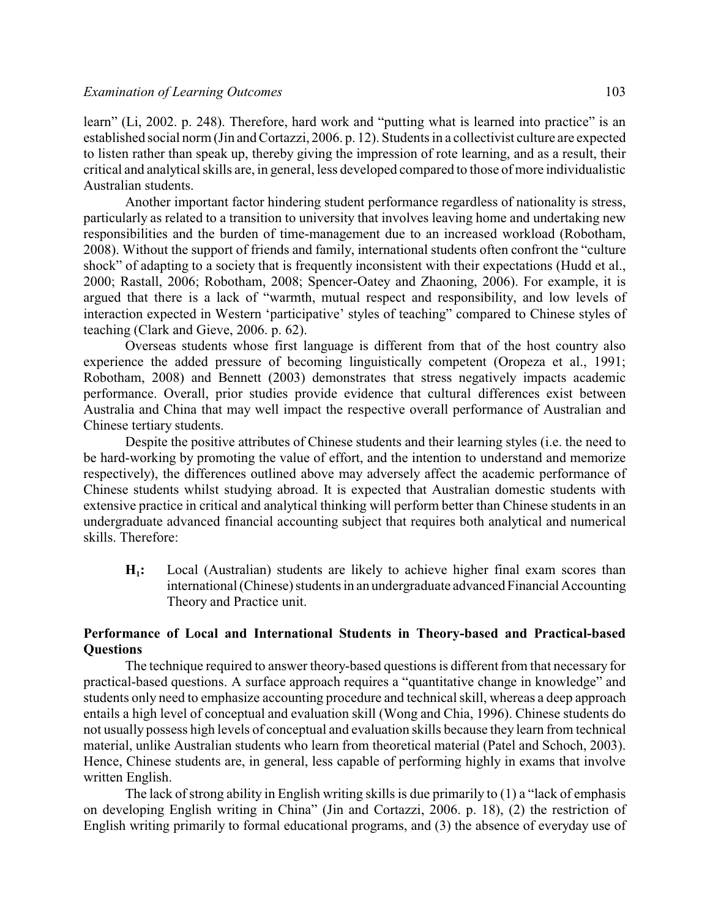learn" (Li, 2002. p. 248). Therefore, hard work and "putting what is learned into practice" is an established social norm (Jin and Cortazzi, 2006. p. 12). Students in a collectivist culture are expected to listen rather than speak up, thereby giving the impression of rote learning, and as a result, their critical and analytical skills are, in general, less developed compared to those of more individualistic Australian students.

Another important factor hindering student performance regardless of nationality is stress, particularly as related to a transition to university that involves leaving home and undertaking new responsibilities and the burden of time-management due to an increased workload (Robotham, 2008). Without the support of friends and family, international students often confront the "culture shock" of adapting to a society that is frequently inconsistent with their expectations (Hudd et al., 2000; Rastall, 2006; Robotham, 2008; Spencer-Oatey and Zhaoning, 2006). For example, it is argued that there is a lack of "warmth, mutual respect and responsibility, and low levels of interaction expected in Western 'participative' styles of teaching" compared to Chinese styles of teaching (Clark and Gieve, 2006. p. 62).

Overseas students whose first language is different from that of the host country also experience the added pressure of becoming linguistically competent (Oropeza et al., 1991; Robotham, 2008) and Bennett (2003) demonstrates that stress negatively impacts academic performance. Overall, prior studies provide evidence that cultural differences exist between Australia and China that may well impact the respective overall performance of Australian and Chinese tertiary students.

Despite the positive attributes of Chinese students and their learning styles (i.e. the need to be hard-working by promoting the value of effort, and the intention to understand and memorize respectively), the differences outlined above may adversely affect the academic performance of Chinese students whilst studying abroad. It is expected that Australian domestic students with extensive practice in critical and analytical thinking will perform better than Chinese students in an undergraduate advanced financial accounting subject that requires both analytical and numerical skills. Therefore:

 $H_1$ : **:** Local (Australian) students are likely to achieve higher final exam scores than international (Chinese) students in an undergraduate advanced Financial Accounting Theory and Practice unit.

# **Performance of Local and International Students in Theory-based and Practical-based Questions**

The technique required to answer theory-based questions is different from that necessary for practical-based questions. A surface approach requires a "quantitative change in knowledge" and students only need to emphasize accounting procedure and technical skill, whereas a deep approach entails a high level of conceptual and evaluation skill (Wong and Chia, 1996). Chinese students do not usually possess high levels of conceptual and evaluation skills because they learn from technical material, unlike Australian students who learn from theoretical material (Patel and Schoch, 2003). Hence, Chinese students are, in general, less capable of performing highly in exams that involve written English.

The lack of strong ability in English writing skills is due primarily to (1) a "lack of emphasis on developing English writing in China" (Jin and Cortazzi, 2006. p. 18), (2) the restriction of English writing primarily to formal educational programs, and (3) the absence of everyday use of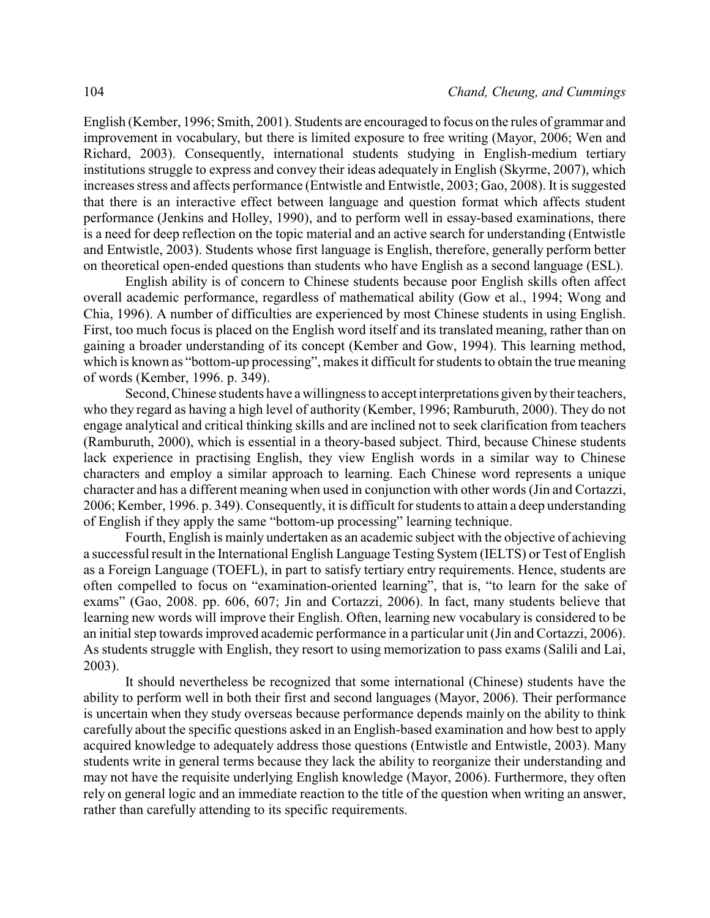English (Kember, 1996; Smith, 2001). Students are encouraged to focus on the rules of grammar and improvement in vocabulary, but there is limited exposure to free writing (Mayor, 2006; Wen and Richard, 2003). Consequently, international students studying in English-medium tertiary institutions struggle to express and convey their ideas adequately in English (Skyrme, 2007), which increases stress and affects performance (Entwistle and Entwistle, 2003; Gao, 2008). It is suggested that there is an interactive effect between language and question format which affects student performance (Jenkins and Holley, 1990), and to perform well in essay-based examinations, there is a need for deep reflection on the topic material and an active search for understanding (Entwistle and Entwistle, 2003). Students whose first language is English, therefore, generally perform better on theoretical open-ended questions than students who have English as a second language (ESL).

English ability is of concern to Chinese students because poor English skills often affect overall academic performance, regardless of mathematical ability (Gow et al., 1994; Wong and Chia, 1996). A number of difficulties are experienced by most Chinese students in using English. First, too much focus is placed on the English word itself and its translated meaning, rather than on gaining a broader understanding of its concept (Kember and Gow, 1994). This learning method, which is known as "bottom-up processing", makes it difficult for students to obtain the true meaning of words (Kember, 1996. p. 349).

Second, Chinese students have a willingness to accept interpretations given bytheir teachers, who they regard as having a high level of authority (Kember, 1996; Ramburuth, 2000). They do not engage analytical and critical thinking skills and are inclined not to seek clarification from teachers (Ramburuth, 2000), which is essential in a theory-based subject. Third, because Chinese students lack experience in practising English, they view English words in a similar way to Chinese characters and employ a similar approach to learning. Each Chinese word represents a unique character and has a different meaning when used in conjunction with other words (Jin and Cortazzi, 2006; Kember, 1996. p. 349). Consequently, it is difficult for students to attain a deep understanding of English if they apply the same "bottom-up processing" learning technique.

Fourth, English is mainly undertaken as an academic subject with the objective of achieving a successful result in the International English Language Testing System (IELTS) or Test of English as a Foreign Language (TOEFL), in part to satisfy tertiary entry requirements. Hence, students are often compelled to focus on "examination-oriented learning", that is, "to learn for the sake of exams" (Gao, 2008. pp. 606, 607; Jin and Cortazzi, 2006). In fact, many students believe that learning new words will improve their English. Often, learning new vocabulary is considered to be an initial step towards improved academic performance in a particular unit (Jin and Cortazzi, 2006). As students struggle with English, they resort to using memorization to pass exams (Salili and Lai, 2003).

It should nevertheless be recognized that some international (Chinese) students have the ability to perform well in both their first and second languages (Mayor, 2006). Their performance is uncertain when they study overseas because performance depends mainly on the ability to think carefully about the specific questions asked in an English-based examination and how best to apply acquired knowledge to adequately address those questions (Entwistle and Entwistle, 2003). Many students write in general terms because they lack the ability to reorganize their understanding and may not have the requisite underlying English knowledge (Mayor, 2006). Furthermore, they often rely on general logic and an immediate reaction to the title of the question when writing an answer, rather than carefully attending to its specific requirements.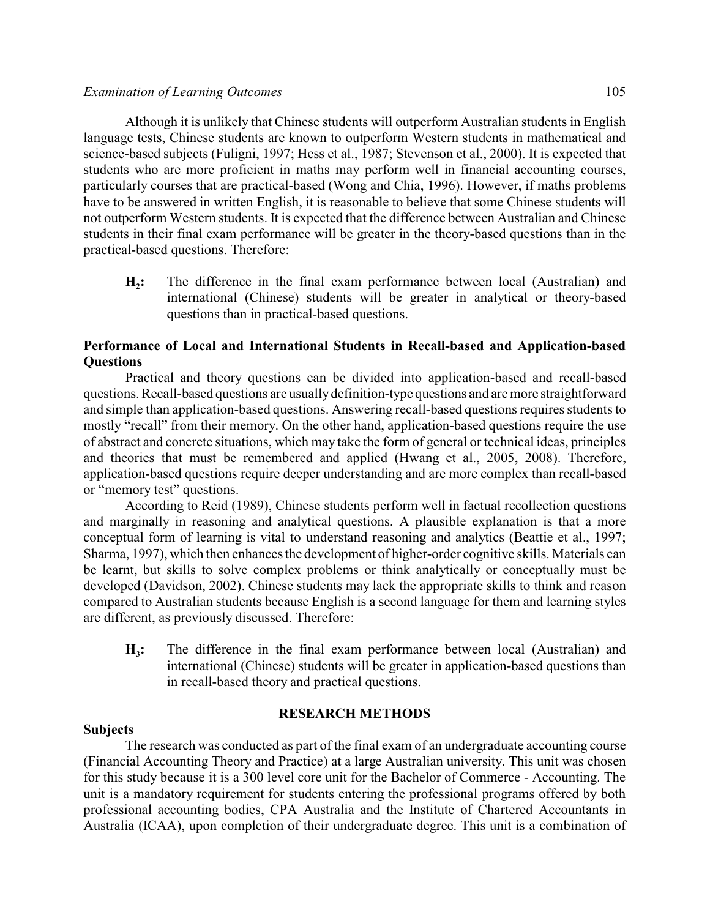Although it is unlikely that Chinese students will outperform Australian students in English language tests, Chinese students are known to outperform Western students in mathematical and science-based subjects (Fuligni, 1997; Hess et al., 1987; Stevenson et al., 2000). It is expected that students who are more proficient in maths may perform well in financial accounting courses, particularly courses that are practical-based (Wong and Chia, 1996). However, if maths problems have to be answered in written English, it is reasonable to believe that some Chinese students will not outperform Western students. It is expected that the difference between Australian and Chinese students in their final exam performance will be greater in the theory-based questions than in the practical-based questions. Therefore:

 $H<sub>2</sub>$ : **:** The difference in the final exam performance between local (Australian) and international (Chinese) students will be greater in analytical or theory-based questions than in practical-based questions.

# **Performance of Local and International Students in Recall-based and Application-based Questions**

Practical and theory questions can be divided into application-based and recall-based questions. Recall-based questions are usuallydefinition-type questions and are more straightforward and simple than application-based questions. Answering recall-based questions requires students to mostly "recall" from their memory. On the other hand, application-based questions require the use of abstract and concrete situations, which may take the form of general or technical ideas, principles and theories that must be remembered and applied (Hwang et al., 2005, 2008). Therefore, application-based questions require deeper understanding and are more complex than recall-based or "memory test" questions.

According to Reid (1989), Chinese students perform well in factual recollection questions and marginally in reasoning and analytical questions. A plausible explanation is that a more conceptual form of learning is vital to understand reasoning and analytics (Beattie et al., 1997; Sharma, 1997), which then enhances the development of higher-order cognitive skills. Materials can be learnt, but skills to solve complex problems or think analytically or conceptually must be developed (Davidson, 2002). Chinese students may lack the appropriate skills to think and reason compared to Australian students because English is a second language for them and learning styles are different, as previously discussed. Therefore:

 $H_3$ : **:** The difference in the final exam performance between local (Australian) and international (Chinese) students will be greater in application-based questions than in recall-based theory and practical questions.

### **RESEARCH METHODS**

### **Subjects**

The research was conducted as part of the final exam of an undergraduate accounting course (Financial Accounting Theory and Practice) at a large Australian university. This unit was chosen for this study because it is a 300 level core unit for the Bachelor of Commerce - Accounting. The unit is a mandatory requirement for students entering the professional programs offered by both professional accounting bodies, CPA Australia and the Institute of Chartered Accountants in Australia (ICAA), upon completion of their undergraduate degree. This unit is a combination of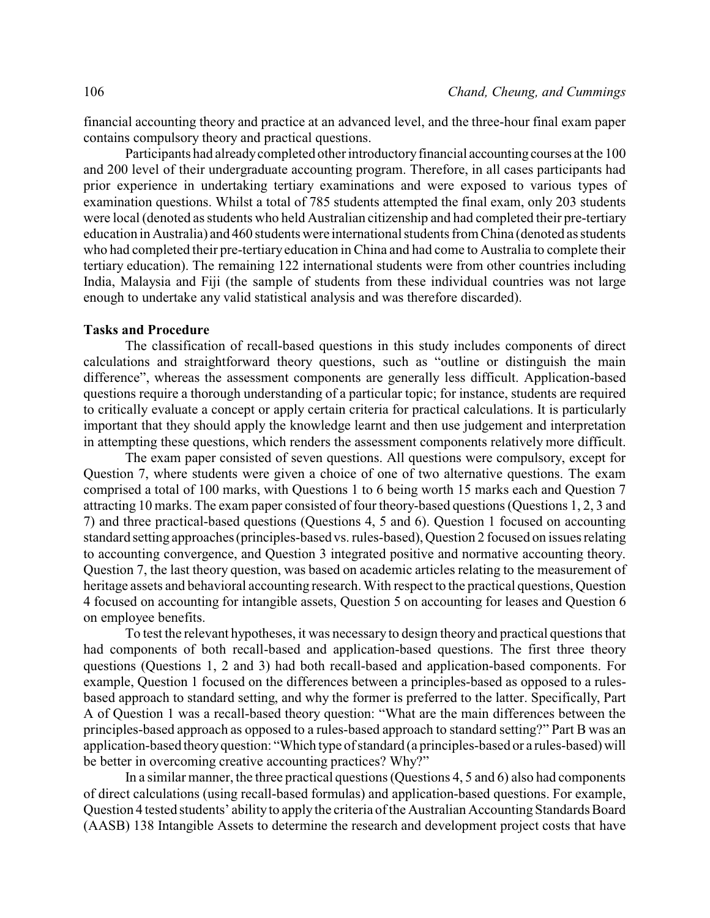financial accounting theory and practice at an advanced level, and the three-hour final exam paper contains compulsory theory and practical questions.

Participants had alreadycompleted other introductoryfinancial accounting courses at the 100 and 200 level of their undergraduate accounting program. Therefore, in all cases participants had prior experience in undertaking tertiary examinations and were exposed to various types of examination questions. Whilst a total of 785 students attempted the final exam, only 203 students were local (denoted as students who held Australian citizenship and had completed their pre-tertiary education in Australia) and 460 students were international students from China (denoted as students who had completed their pre-tertiaryeducation in China and had come to Australia to complete their tertiary education). The remaining 122 international students were from other countries including India, Malaysia and Fiji (the sample of students from these individual countries was not large enough to undertake any valid statistical analysis and was therefore discarded).

### **Tasks and Procedure**

The classification of recall-based questions in this study includes components of direct calculations and straightforward theory questions, such as "outline or distinguish the main difference", whereas the assessment components are generally less difficult. Application-based questions require a thorough understanding of a particular topic; for instance, students are required to critically evaluate a concept or apply certain criteria for practical calculations. It is particularly important that they should apply the knowledge learnt and then use judgement and interpretation in attempting these questions, which renders the assessment components relatively more difficult.

The exam paper consisted of seven questions. All questions were compulsory, except for Question 7, where students were given a choice of one of two alternative questions. The exam comprised a total of 100 marks, with Questions 1 to 6 being worth 15 marks each and Question 7 attracting 10 marks. The exam paper consisted of four theory-based questions (Questions 1, 2, 3 and 7) and three practical-based questions (Questions 4, 5 and 6). Question 1 focused on accounting standard setting approaches (principles-based vs. rules-based), Question 2 focused on issues relating to accounting convergence, and Question 3 integrated positive and normative accounting theory. Question 7, the last theory question, was based on academic articles relating to the measurement of heritage assets and behavioral accounting research. With respect to the practical questions, Question 4 focused on accounting for intangible assets, Question 5 on accounting for leases and Question 6 on employee benefits.

To test the relevant hypotheses, it was necessary to design theory and practical questions that had components of both recall-based and application-based questions. The first three theory questions (Questions 1, 2 and 3) had both recall-based and application-based components. For example, Question 1 focused on the differences between a principles-based as opposed to a rulesbased approach to standard setting, and why the former is preferred to the latter. Specifically, Part A of Question 1 was a recall-based theory question: "What are the main differences between the principles-based approach as opposed to a rules-based approach to standard setting?" Part B was an application-based theoryquestion: "Which type of standard (a principles-based or a rules-based) will be better in overcoming creative accounting practices? Why?"

In a similar manner, the three practical questions (Questions 4, 5 and 6) also had components of direct calculations (using recall-based formulas) and application-based questions. For example, Question 4 tested students' ability to apply the criteria of the Australian Accounting Standards Board (AASB) 138 Intangible Assets to determine the research and development project costs that have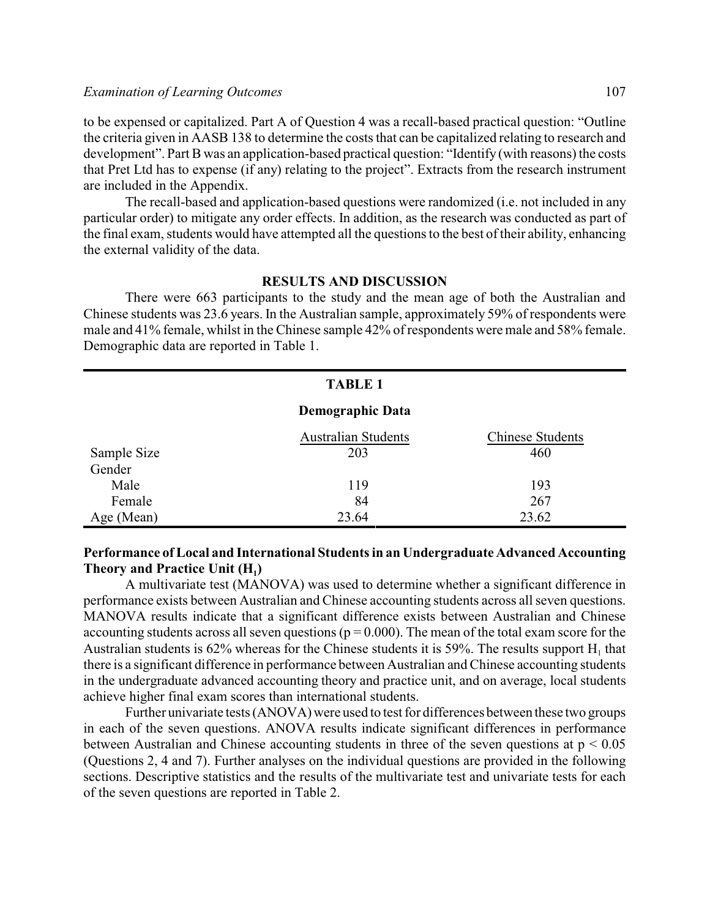to be expensed or capitalized. Part A of Question 4 was a recall-based practical question: "Outline the criteria given in AASB 138 to determine the costs that can be capitalized relating to research and development". Part B was an application-based practical question: "Identify (with reasons) the costs that Pret Ltd has to expense (if any) relating to the project". Extracts from the research instrument are included in the Appendix.

The recall-based and application-based questions were randomized (i.e. not included in any particular order) to mitigate any order effects. In addition, as the research was conducted as part of the final exam, students would have attempted all the questions to the best of their ability, enhancing the external validity of the data.

#### **RESULTS AND DISCUSSION**

There were 663 participants to the study and the mean age of both the Australian and Chinese students was 23.6 years. In the Australian sample, approximately 59% of respondents were male and 41% female, whilst in the Chinese sample 42% of respondents were male and 58% female. Demographic data are reported in Table 1.

| <b>TABLE 1</b> |                            |                         |  |  |  |  |
|----------------|----------------------------|-------------------------|--|--|--|--|
|                | <b>Demographic Data</b>    |                         |  |  |  |  |
|                | <b>Australian Students</b> | <b>Chinese Students</b> |  |  |  |  |
| Sample Size    | 203                        | 460                     |  |  |  |  |
| Gender         |                            |                         |  |  |  |  |
| Male           | 119                        | 193                     |  |  |  |  |
| Female         | 84                         | 267                     |  |  |  |  |
| Age (Mean)     | 23.64                      | 23.62                   |  |  |  |  |

# **Performance ofLocal and International Students in an Undergraduate Advanced Accounting Theory and Practice Unit (H<sup>1</sup> )**

A multivariate test (MANOVA) was used to determine whether a significant difference in performance exists between Australian and Chinese accounting students across all seven questions. MANOVA results indicate that a significant difference exists between Australian and Chinese accounting students across all seven questions ( $p = 0.000$ ). The mean of the total exam score for the Australian students is 62% whereas for the Chinese students it is 59%. The results support  $H_1$  that there is a significant difference in performance between Australian and Chinese accounting students in the undergraduate advanced accounting theory and practice unit, and on average, local students achieve higher final exam scores than international students.

Further univariate tests (ANOVA) were used to test for differences between these two groups in each of the seven questions. ANOVA results indicate significant differences in performance between Australian and Chinese accounting students in three of the seven questions at  $p \le 0.05$ (Questions 2, 4 and 7). Further analyses on the individual questions are provided in the following sections. Descriptive statistics and the results of the multivariate test and univariate tests for each of the seven questions are reported in Table 2.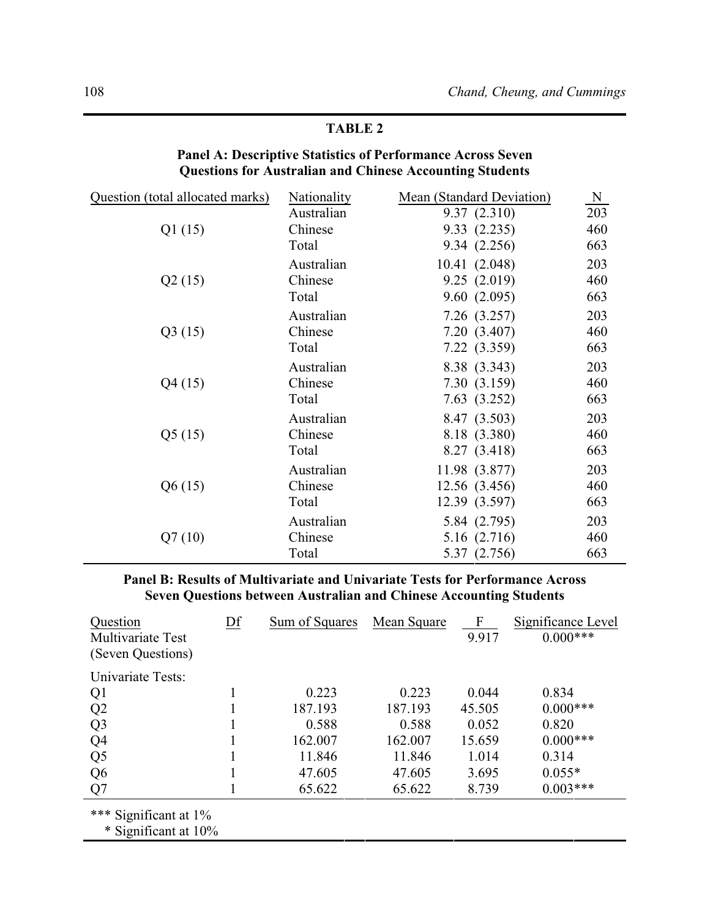# **TABLE 2**

# **Panel A: Descriptive Statistics of Performance Across Seven Questions for Australian and Chinese Accounting Students**

| Question (total allocated marks) | Nationality | Mean (Standard Deviation) | N   |
|----------------------------------|-------------|---------------------------|-----|
|                                  | Australian  | 9.37(2.310)               | 203 |
| Q1(15)                           | Chinese     | 9.33(2.235)               | 460 |
|                                  | Total       | 9.34 (2.256)              | 663 |
|                                  | Australian  | 10.41 (2.048)             | 203 |
| Q2(15)                           | Chinese     | 9.25(2.019)               | 460 |
|                                  | Total       | 9.60(2.095)               | 663 |
|                                  | Australian  | 7.26(3.257)               | 203 |
| Q3(15)                           | Chinese     | 7.20 (3.407)              | 460 |
|                                  | Total       | 7.22 (3.359)              | 663 |
|                                  | Australian  | 8.38 (3.343)              | 203 |
| Q4(15)                           | Chinese     | 7.30 (3.159)              | 460 |
|                                  | Total       | 7.63 (3.252)              | 663 |
|                                  | Australian  | 8.47 (3.503)              | 203 |
| Q5(15)                           | Chinese     | 8.18 (3.380)              | 460 |
|                                  | Total       | 8.27 (3.418)              | 663 |
|                                  | Australian  | 11.98 (3.877)             | 203 |
| Q6(15)                           | Chinese     | 12.56 (3.456)             | 460 |
|                                  | Total       | 12.39 (3.597)             | 663 |
|                                  | Australian  | 5.84 (2.795)              | 203 |
| Q7(10)                           | Chinese     | 5.16 (2.716)              | 460 |
|                                  | Total       | 5.37 (2.756)              | 663 |

**Panel B: Results of Multivariate and Univariate Tests for Performance Across Seven Questions between Australian and Chinese Accounting Students**

| Question<br>Multivariate Test<br>(Seven Questions) | $DF$ | Sum of Squares | Mean Square | $\mathbf{F}$<br>9.917 | Significance Level<br>$0.000***$ |
|----------------------------------------------------|------|----------------|-------------|-----------------------|----------------------------------|
| Univariate Tests:                                  |      |                |             |                       |                                  |
| Q <sub>1</sub>                                     |      | 0.223          | 0.223       | 0.044                 | 0.834                            |
| Q <sub>2</sub>                                     |      | 187.193        | 187.193     | 45.505                | $0.000***$                       |
| Q <sub>3</sub>                                     |      | 0.588          | 0.588       | 0.052                 | 0.820                            |
| Q <sub>4</sub>                                     |      | 162.007        | 162.007     | 15.659                | $0.000$ ***                      |
| Q <sub>5</sub>                                     |      | 11.846         | 11.846      | 1.014                 | 0.314                            |
| Q <sub>6</sub>                                     |      | 47.605         | 47.605      | 3.695                 | $0.055*$                         |
| Q7                                                 |      | 65.622         | 65.622      | 8.739                 | $0.003***$                       |

\*\*\* Significant at 1%

\* Significant at 10%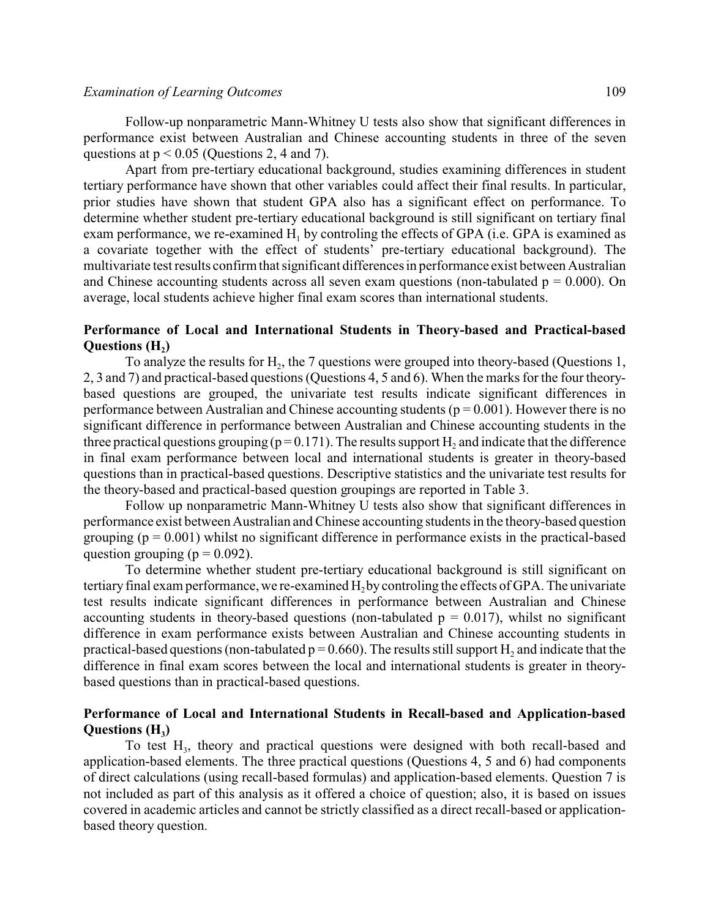Follow-up nonparametric Mann-Whitney U tests also show that significant differences in performance exist between Australian and Chinese accounting students in three of the seven questions at  $p < 0.05$  (Questions 2, 4 and 7).

Apart from pre-tertiary educational background, studies examining differences in student tertiary performance have shown that other variables could affect their final results. In particular, prior studies have shown that student GPA also has a significant effect on performance. To determine whether student pre-tertiary educational background is still significant on tertiary final exam performance, we re-examined  $H_1$  by controling the effects of GPA (i.e. GPA is examined as a covariate together with the effect of students' pre-tertiary educational background). The multivariate test results confirm that significant differences in performance exist between Australian and Chinese accounting students across all seven exam questions (non-tabulated  $p = 0.000$ ). On average, local students achieve higher final exam scores than international students.

# **Performance of Local and International Students in Theory-based and Practical-based**  $\mathbf{Questions}$   $(\mathbf{H}_{2})$

To analyze the results for  $H_2$ , the 7 questions were grouped into theory-based (Questions 1, 2, 3 and 7) and practical-based questions (Questions 4, 5 and 6). When the marks for the four theorybased questions are grouped, the univariate test results indicate significant differences in performance between Australian and Chinese accounting students ( $p = 0.001$ ). However there is no significant difference in performance between Australian and Chinese accounting students in the three practical questions grouping ( $p = 0.171$ ). The results support H<sub>2</sub> and indicate that the difference in final exam performance between local and international students is greater in theory-based questions than in practical-based questions. Descriptive statistics and the univariate test results for the theory-based and practical-based question groupings are reported in Table 3.

Follow up nonparametric Mann-Whitney U tests also show that significant differences in performance exist between Australian and Chinese accounting students in the theory-based question grouping  $(p = 0.001)$  whilst no significant difference in performance exists in the practical-based question grouping ( $p = 0.092$ ).

To determine whether student pre-tertiary educational background is still significant on tertiary final exam performance, we re-examined  $H<sub>2</sub>$  by controling the effects of GPA. The univariate test results indicate significant differences in performance between Australian and Chinese accounting students in theory-based questions (non-tabulated  $p = 0.017$ ), whilst no significant difference in exam performance exists between Australian and Chinese accounting students in practical-based questions (non-tabulated  $p = 0.660$ ). The results still support H<sub>2</sub> and indicate that the difference in final exam scores between the local and international students is greater in theorybased questions than in practical-based questions.

# **Performance of Local and International Students in Recall-based and Application-based Questions (H<sup>3</sup> )**

To test H<sub>3</sub>, theory and practical questions were designed with both recall-based and application-based elements. The three practical questions (Questions 4, 5 and 6) had components of direct calculations (using recall-based formulas) and application-based elements. Question 7 is not included as part of this analysis as it offered a choice of question; also, it is based on issues covered in academic articles and cannot be strictly classified as a direct recall-based or applicationbased theory question.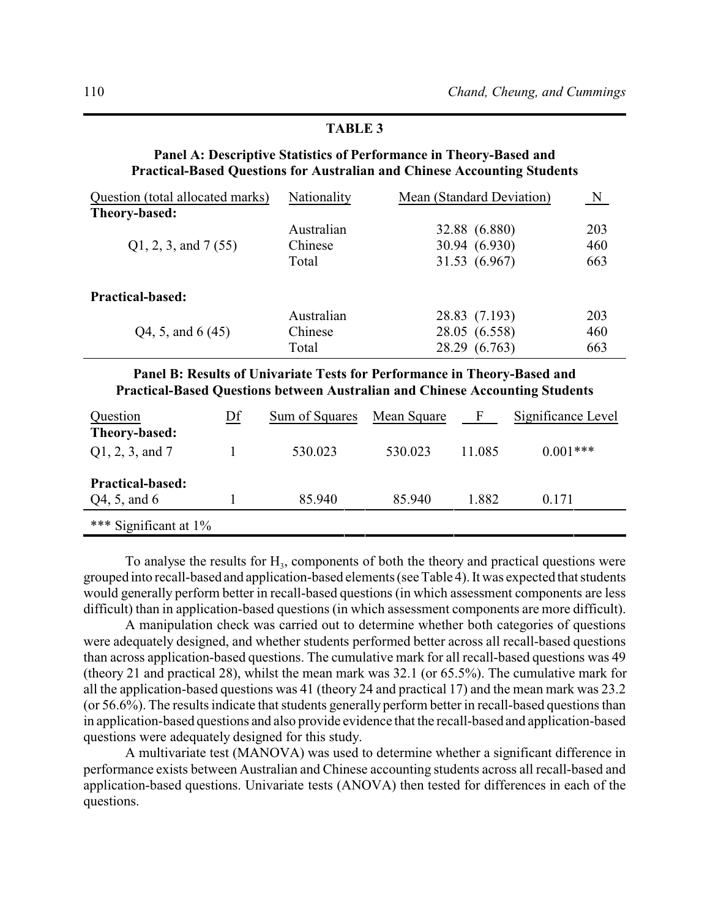# **TABLE 3**

# **Panel A: Descriptive Statistics of Performance in Theory-Based and Practical-Based Questions for Australian and Chinese Accounting Students**

| Question (total allocated marks) | Nationality | Mean (Standard Deviation) | N   |
|----------------------------------|-------------|---------------------------|-----|
| Theory-based:                    |             |                           |     |
|                                  | Australian  | 32.88 (6.880)             | 203 |
| Q1, 2, 3, and 7(55)              | Chinese     | 30.94 (6.930)             | 460 |
|                                  | Total       | 31.53 (6.967)             | 663 |
| <b>Practical-based:</b>          |             |                           |     |
|                                  | Australian  | 28.83 (7.193)             | 203 |
| Q4, 5, and 6 (45)                | Chinese     | 28.05 (6.558)             | 460 |
|                                  | Total       | 28.29 (6.763)             | 663 |

**Panel B: Results of Univariate Tests for Performance in Theory-Based and Practical-Based Questions between Australian and Chinese Accounting Students**

| Question                              | Df | Sum of Squares | Mean Square | - F    | Significance Level |
|---------------------------------------|----|----------------|-------------|--------|--------------------|
| Theory-based:<br>$Q1, 2, 3,$ and 7    |    | 530.023        | 530.023     | 11.085 | $0.001***$         |
| <b>Practical-based:</b>               |    |                |             |        |                    |
| Q4, 5, and 6<br>*** Significant at 1% |    | 85.940         | 85.940      | 1.882  | 0.171              |

To analyse the results for  $H_3$ , components of both the theory and practical questions were grouped into recall-based and application-based elements (see Table 4). It was expected that students would generally perform better in recall-based questions (in which assessment components are less difficult) than in application-based questions (in which assessment components are more difficult).

A manipulation check was carried out to determine whether both categories of questions were adequately designed, and whether students performed better across all recall-based questions than across application-based questions. The cumulative mark for all recall-based questions was 49 (theory 21 and practical 28), whilst the mean mark was 32.1 (or 65.5%). The cumulative mark for all the application-based questions was 41 (theory 24 and practical 17) and the mean mark was 23.2 (or 56.6%). The results indicate that students generally perform better in recall-based questions than in application-based questions and also provide evidence that the recall-based and application-based questions were adequately designed for this study.

A multivariate test (MANOVA) was used to determine whether a significant difference in performance exists between Australian and Chinese accounting students across all recall-based and application-based questions. Univariate tests (ANOVA) then tested for differences in each of the questions.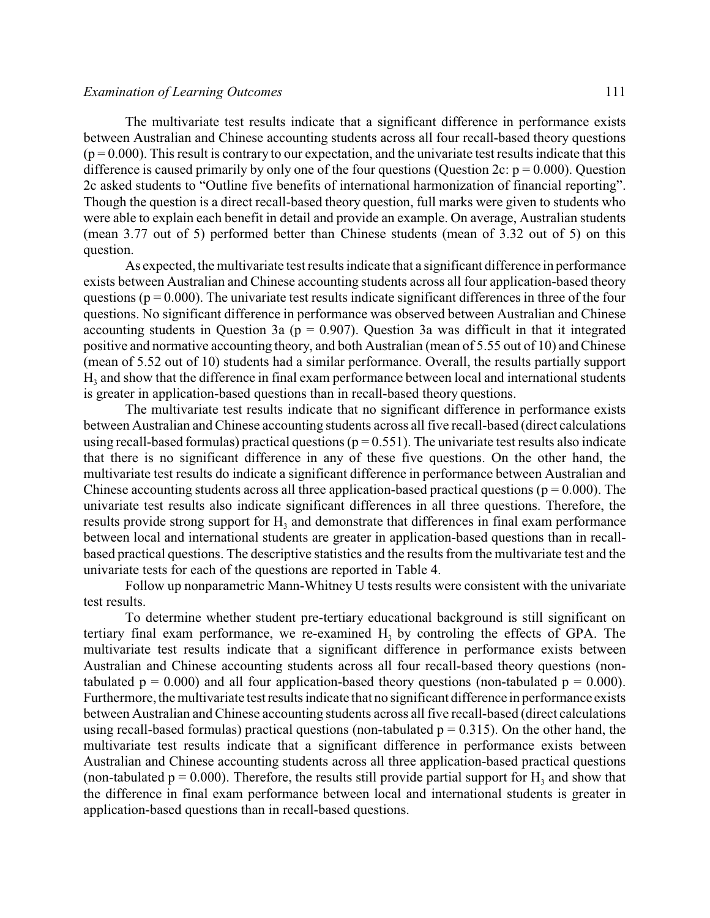The multivariate test results indicate that a significant difference in performance exists between Australian and Chinese accounting students across all four recall-based theory questions  $(p = 0.000)$ . This result is contrary to our expectation, and the univariate test results indicate that this difference is caused primarily by only one of the four questions (Question 2c:  $p = 0.000$ ). Question 2c asked students to "Outline five benefits of international harmonization of financial reporting". Though the question is a direct recall-based theory question, full marks were given to students who were able to explain each benefit in detail and provide an example. On average, Australian students (mean 3.77 out of 5) performed better than Chinese students (mean of 3.32 out of 5) on this question.

As expected, the multivariate test results indicate that a significant difference in performance exists between Australian and Chinese accounting students across all four application-based theory questions ( $p = 0.000$ ). The univariate test results indicate significant differences in three of the four questions. No significant difference in performance was observed between Australian and Chinese accounting students in Question 3a ( $p = 0.907$ ). Question 3a was difficult in that it integrated positive and normative accounting theory, and both Australian (mean of 5.55 out of 10) and Chinese (mean of 5.52 out of 10) students had a similar performance. Overall, the results partially support H<sup>3</sup> and show that the difference in final exam performance between local and international students is greater in application-based questions than in recall-based theory questions.

The multivariate test results indicate that no significant difference in performance exists between Australian and Chinese accounting students across all five recall-based (direct calculations using recall-based formulas) practical questions ( $p = 0.551$ ). The univariate test results also indicate that there is no significant difference in any of these five questions. On the other hand, the multivariate test results do indicate a significant difference in performance between Australian and Chinese accounting students across all three application-based practical questions ( $p = 0.000$ ). The univariate test results also indicate significant differences in all three questions. Therefore, the results provide strong support for  $H_3$  and demonstrate that differences in final exam performance between local and international students are greater in application-based questions than in recallbased practical questions. The descriptive statistics and the results from the multivariate test and the univariate tests for each of the questions are reported in Table 4.

Follow up nonparametric Mann-Whitney U tests results were consistent with the univariate test results.

To determine whether student pre-tertiary educational background is still significant on tertiary final exam performance, we re-examined  $H<sub>3</sub>$  by controling the effects of GPA. The multivariate test results indicate that a significant difference in performance exists between Australian and Chinese accounting students across all four recall-based theory questions (nontabulated  $p = 0.000$ ) and all four application-based theory questions (non-tabulated  $p = 0.000$ ). Furthermore, the multivariate testresults indicate that no significant difference in performance exists between Australian and Chinese accounting students across all five recall-based (direct calculations using recall-based formulas) practical questions (non-tabulated  $p = 0.315$ ). On the other hand, the multivariate test results indicate that a significant difference in performance exists between Australian and Chinese accounting students across all three application-based practical questions (non-tabulated  $p = 0.000$ ). Therefore, the results still provide partial support for  $H_3$  and show that the difference in final exam performance between local and international students is greater in application-based questions than in recall-based questions.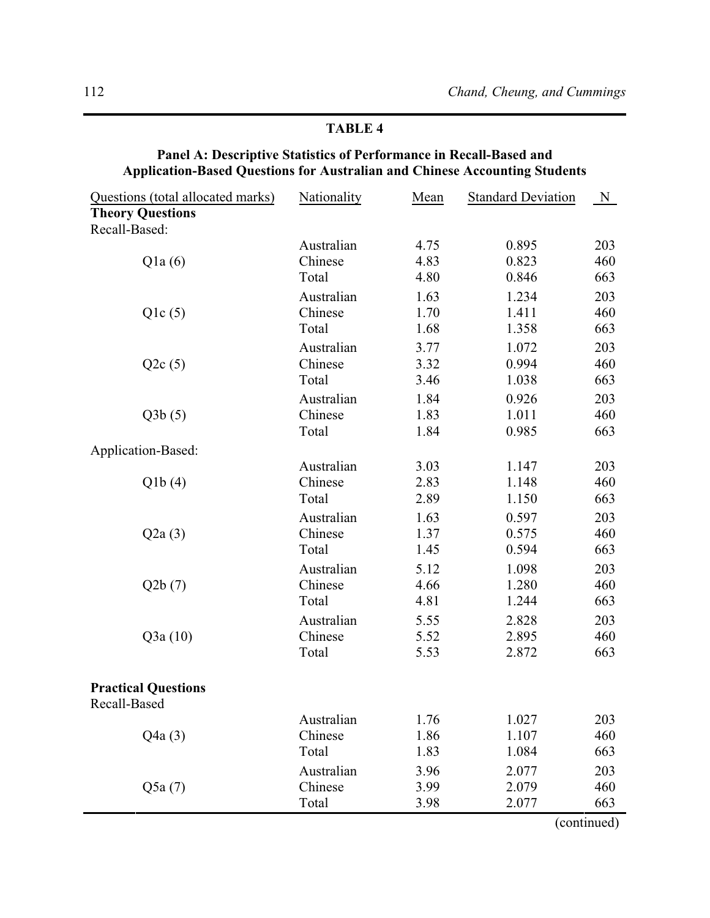# **TABLE 4**

## **Panel A: Descriptive Statistics of Performance in Recall-Based and Application-Based Questions for Australian and Chinese Accounting Students**

| Questions (total allocated marks) | Nationality | Mean | <b>Standard Deviation</b> | $N_{\rm}$   |
|-----------------------------------|-------------|------|---------------------------|-------------|
| <b>Theory Questions</b>           |             |      |                           |             |
| Recall-Based:                     |             |      |                           |             |
|                                   | Australian  | 4.75 | 0.895                     | 203         |
| Q1a(6)                            | Chinese     | 4.83 | 0.823                     | 460         |
|                                   | Total       | 4.80 | 0.846                     | 663         |
|                                   | Australian  | 1.63 | 1.234                     | 203         |
| Q1c(5)                            | Chinese     | 1.70 | 1.411                     | 460         |
|                                   | Total       | 1.68 | 1.358                     | 663         |
|                                   | Australian  | 3.77 | 1.072                     | 203         |
| Q2c(5)                            | Chinese     | 3.32 | 0.994                     | 460         |
|                                   | Total       | 3.46 | 1.038                     | 663         |
|                                   | Australian  | 1.84 | 0.926                     | 203         |
| Q3b(5)                            | Chinese     | 1.83 | 1.011                     | 460         |
|                                   | Total       | 1.84 | 0.985                     | 663         |
| Application-Based:                |             |      |                           |             |
|                                   | Australian  | 3.03 | 1.147                     | 203         |
| Q1b(4)                            | Chinese     | 2.83 | 1.148                     | 460         |
|                                   | Total       | 2.89 | 1.150                     | 663         |
|                                   | Australian  | 1.63 | 0.597                     | 203         |
| Q2a(3)                            | Chinese     | 1.37 | 0.575                     | 460         |
|                                   | Total       | 1.45 | 0.594                     | 663         |
|                                   | Australian  | 5.12 | 1.098                     | 203         |
| Q2b(7)                            | Chinese     | 4.66 | 1.280                     | 460         |
|                                   | Total       | 4.81 | 1.244                     | 663         |
|                                   | Australian  | 5.55 | 2.828                     | 203         |
| Q3a(10)                           | Chinese     | 5.52 | 2.895                     | 460         |
|                                   | Total       | 5.53 | 2.872                     | 663         |
| <b>Practical Questions</b>        |             |      |                           |             |
| Recall-Based                      |             |      |                           |             |
|                                   | Australian  | 1.76 | 1.027                     | 203         |
| Q4a(3)                            | Chinese     | 1.86 | 1.107                     | 460         |
|                                   | Total       | 1.83 | 1.084                     | 663         |
|                                   | Australian  | 3.96 | 2.077                     | 203         |
| Q5a(7)                            | Chinese     | 3.99 | 2.079                     | 460         |
|                                   | Total       | 3.98 | 2.077                     | 663         |
|                                   |             |      |                           | (continued) |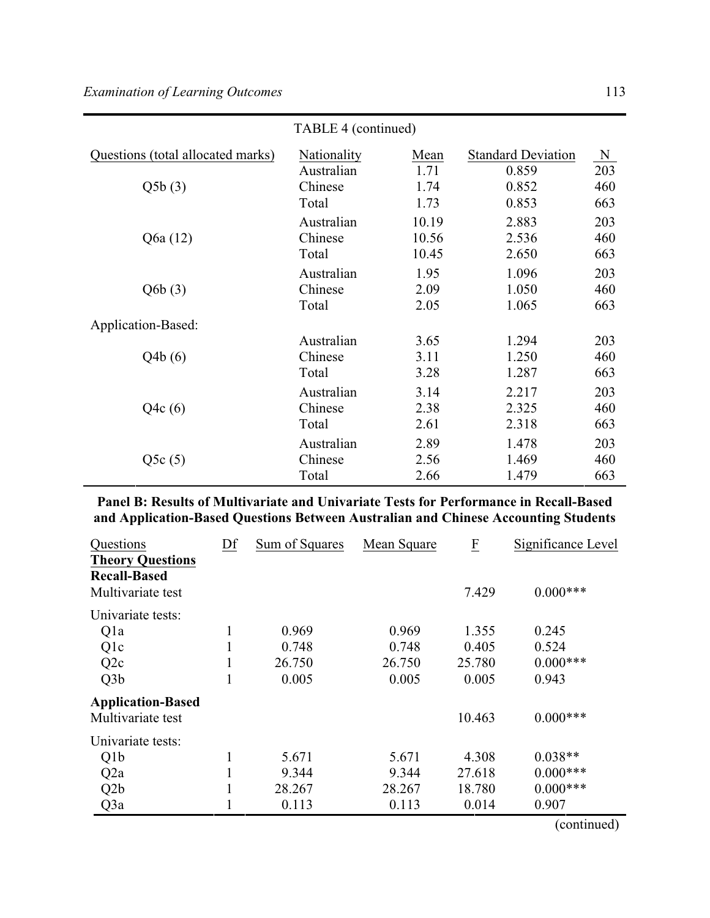|                                   | TABLE 4 (continued) |       |                           |     |  |
|-----------------------------------|---------------------|-------|---------------------------|-----|--|
| Questions (total allocated marks) | Nationality         | Mean  | <b>Standard Deviation</b> | N   |  |
|                                   | Australian          | 1.71  | 0.859                     | 203 |  |
| Q5b(3)                            | Chinese             | 1.74  | 0.852                     | 460 |  |
|                                   | Total               | 1.73  | 0.853                     | 663 |  |
|                                   | Australian          | 10.19 | 2.883                     | 203 |  |
| Q6a (12)                          | Chinese             | 10.56 | 2.536                     | 460 |  |
|                                   | Total               | 10.45 | 2.650                     | 663 |  |
|                                   | Australian          | 1.95  | 1.096                     | 203 |  |
| Q6b(3)                            | Chinese             | 2.09  | 1.050                     | 460 |  |
|                                   | Total               | 2.05  | 1.065                     | 663 |  |
| Application-Based:                |                     |       |                           |     |  |
|                                   | Australian          | 3.65  | 1.294                     | 203 |  |
| Q4b(6)                            | Chinese             | 3.11  | 1.250                     | 460 |  |
|                                   | Total               | 3.28  | 1.287                     | 663 |  |
|                                   | Australian          | 3.14  | 2.217                     | 203 |  |
| Q4c(6)                            | Chinese             | 2.38  | 2.325                     | 460 |  |
|                                   | Total               | 2.61  | 2.318                     | 663 |  |
|                                   | Australian          | 2.89  | 1.478                     | 203 |  |
| Q5c(5)                            | Chinese             | 2.56  | 1.469                     | 460 |  |
|                                   | Total               | 2.66  | 1.479                     | 663 |  |

**Panel B: Results of Multivariate and Univariate Tests for Performance in Recall-Based and Application-Based Questions Between Australian and Chinese Accounting Students**

| Questions                                      | Df | Sum of Squares | Mean Square | $\underline{F}$ | Significance Level |
|------------------------------------------------|----|----------------|-------------|-----------------|--------------------|
| <b>Theory Questions</b><br><b>Recall-Based</b> |    |                |             |                 |                    |
| Multivariate test                              |    |                |             | 7.429           | $0.000***$         |
| Univariate tests:                              |    |                |             |                 |                    |
| Qla                                            |    | 0.969          | 0.969       | 1.355           | 0.245              |
| Qlc                                            |    | 0.748          | 0.748       | 0.405           | 0.524              |
| Q2c                                            |    | 26.750         | 26.750      | 25.780          | $0.000$ ***        |
| Q3b                                            |    | 0.005          | 0.005       | 0.005           | 0.943              |
| <b>Application-Based</b>                       |    |                |             |                 |                    |
| Multivariate test                              |    |                |             | 10.463          | $0.000***$         |
| Univariate tests:                              |    |                |             |                 |                    |
| Q <sub>1</sub> b                               | 1  | 5.671          | 5.671       | 4.308           | $0.038**$          |
| Q <sub>2</sub> a                               |    | 9.344          | 9.344       | 27.618          | $0.000***$         |
| Q <sub>2</sub> b                               |    | 28.267         | 28.267      | 18.780          | $0.000***$         |
| Q3a                                            |    | 0.113          | 0.113       | 0.014           | 0.907              |
|                                                |    |                |             |                 | (continued)        |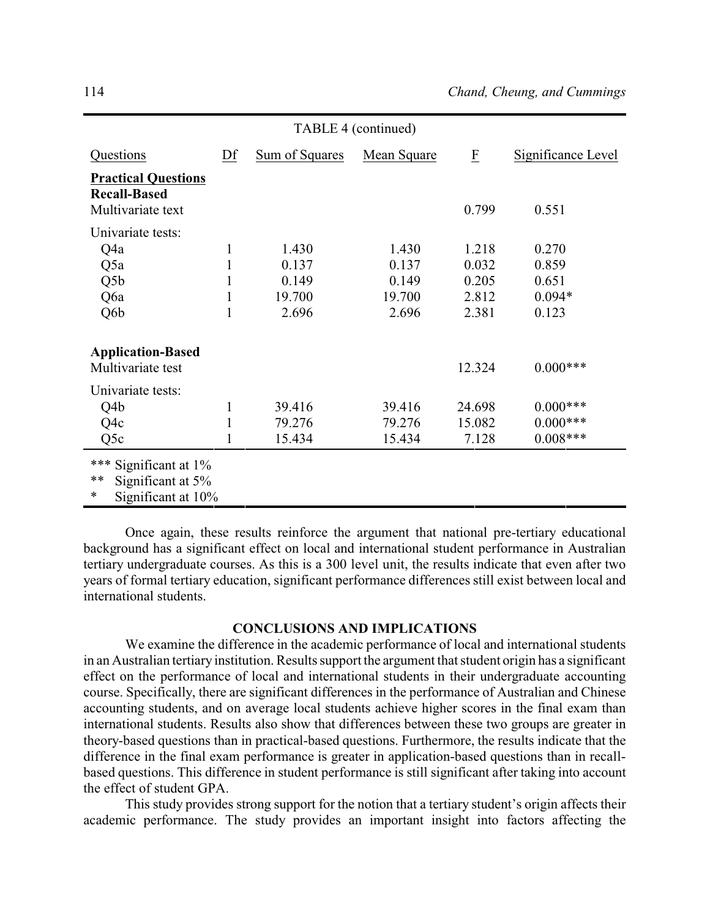| TABLE 4 (continued)                                                    |        |                                            |                                            |                                           |                                              |
|------------------------------------------------------------------------|--------|--------------------------------------------|--------------------------------------------|-------------------------------------------|----------------------------------------------|
| Questions                                                              | Df     | Sum of Squares                             | Mean Square                                | $\overline{\mathrm{E}}$                   | Significance Level                           |
| <b>Practical Questions</b><br><b>Recall-Based</b><br>Multivariate text |        |                                            |                                            | 0.799                                     | 0.551                                        |
| Univariate tests:<br>Q4a<br>Q5a<br>Q <sub>5</sub> b<br>Q6a<br>Q6b      | 1<br>1 | 1.430<br>0.137<br>0.149<br>19.700<br>2.696 | 1.430<br>0.137<br>0.149<br>19.700<br>2.696 | 1.218<br>0.032<br>0.205<br>2.812<br>2.381 | 0.270<br>0.859<br>0.651<br>$0.094*$<br>0.123 |
| <b>Application-Based</b><br>Multivariate test                          |        |                                            |                                            | 12.324                                    | $0.000***$                                   |
| Univariate tests:<br>Q4b<br>Q4c<br>Q5c                                 | 1      | 39.416<br>79.276<br>15.434                 | 39.416<br>79.276<br>15.434                 | 24.698<br>15.082<br>7.128                 | $0.000***$<br>$0.000$ ***<br>$0.008***$      |
| *** Significant at 1%<br>$***$<br>Significant at 5%                    |        |                                            |                                            |                                           |                                              |

Significant at  $10\%$ 

Once again, these results reinforce the argument that national pre-tertiary educational background has a significant effect on local and international student performance in Australian tertiary undergraduate courses. As this is a 300 level unit, the results indicate that even after two years of formal tertiary education, significant performance differences still exist between local and international students.

#### **CONCLUSIONS AND IMPLICATIONS**

We examine the difference in the academic performance of local and international students in an Australian tertiary institution. Results support the argument that student origin has a significant effect on the performance of local and international students in their undergraduate accounting course. Specifically, there are significant differences in the performance of Australian and Chinese accounting students, and on average local students achieve higher scores in the final exam than international students. Results also show that differences between these two groups are greater in theory-based questions than in practical-based questions. Furthermore, the results indicate that the difference in the final exam performance is greater in application-based questions than in recallbased questions. This difference in student performance is still significant after taking into account the effect of student GPA.

This study provides strong support for the notion that a tertiary student's origin affects their academic performance. The study provides an important insight into factors affecting the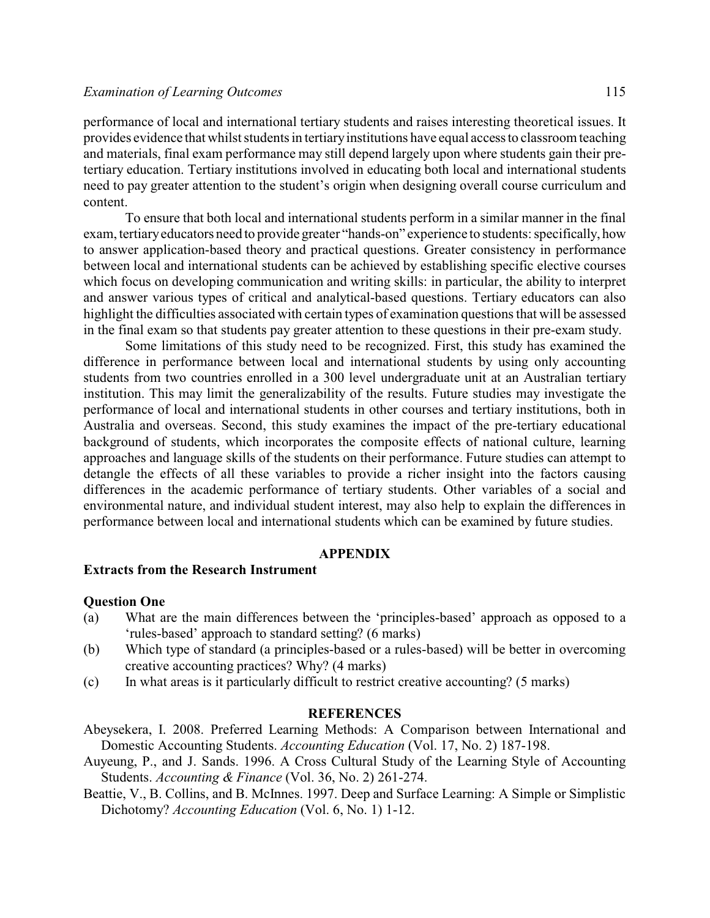performance of local and international tertiary students and raises interesting theoretical issues. It provides evidence that whilst students in tertiaryinstitutions have equal accessto classroom teaching and materials, final exam performance may still depend largely upon where students gain their pretertiary education. Tertiary institutions involved in educating both local and international students need to pay greater attention to the student's origin when designing overall course curriculum and content.

To ensure that both local and international students perform in a similar manner in the final exam, tertiaryeducators need to provide greater "hands-on" experience to students: specifically, how to answer application-based theory and practical questions. Greater consistency in performance between local and international students can be achieved by establishing specific elective courses which focus on developing communication and writing skills: in particular, the ability to interpret and answer various types of critical and analytical-based questions. Tertiary educators can also highlight the difficulties associated with certain types of examination questions that will be assessed in the final exam so that students pay greater attention to these questions in their pre-exam study.

Some limitations of this study need to be recognized. First, this study has examined the difference in performance between local and international students by using only accounting students from two countries enrolled in a 300 level undergraduate unit at an Australian tertiary institution. This may limit the generalizability of the results. Future studies may investigate the performance of local and international students in other courses and tertiary institutions, both in Australia and overseas. Second, this study examines the impact of the pre-tertiary educational background of students, which incorporates the composite effects of national culture, learning approaches and language skills of the students on their performance. Future studies can attempt to detangle the effects of all these variables to provide a richer insight into the factors causing differences in the academic performance of tertiary students. Other variables of a social and environmental nature, and individual student interest, may also help to explain the differences in performance between local and international students which can be examined by future studies.

### **APPENDIX**

### **Extracts from the Research Instrument**

### **Question One**

- (a) What are the main differences between the 'principles-based' approach as opposed to a 'rules-based' approach to standard setting? (6 marks)
- (b) Which type of standard (a principles-based or a rules-based) will be better in overcoming creative accounting practices? Why? (4 marks)
- (c) In what areas is it particularly difficult to restrict creative accounting? (5 marks)

### **REFERENCES**

- Abeysekera, I. 2008. Preferred Learning Methods: A Comparison between International and Domestic Accounting Students. *Accounting Education* (Vol. 17, No. 2) 187-198.
- Auyeung, P., and J. Sands. 1996. A Cross Cultural Study of the Learning Style of Accounting Students. *Accounting & Finance* (Vol. 36, No. 2) 261-274.
- Beattie, V., B. Collins, and B. McInnes. 1997. Deep and Surface Learning: A Simple or Simplistic Dichotomy? *Accounting Education* (Vol. 6, No. 1) 1-12.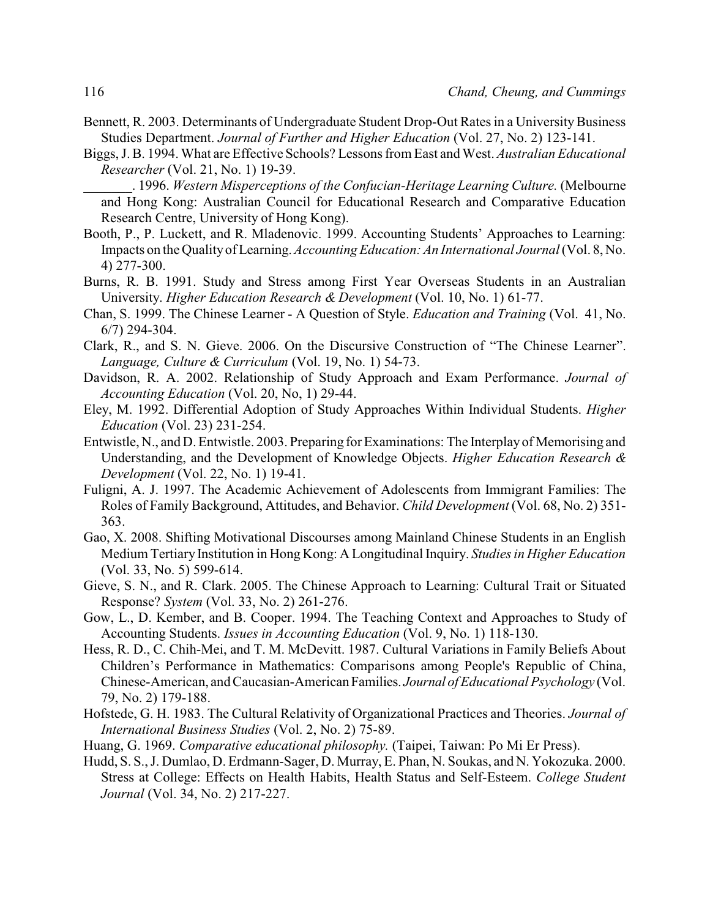- Bennett, R. 2003. Determinants of Undergraduate Student Drop-Out Rates in a University Business Studies Department. *Journal of Further and Higher Education* (Vol. 27, No. 2) 123-141.
- Biggs, J. B. 1994. What are Effective Schools? Lessons from East and West. *Australian Educational Researcher* (Vol. 21, No. 1) 19-39.
	- \_\_\_\_\_\_\_. 1996. *Western Misperceptions of the Confucian-Heritage Learning Culture.* (Melbourne and Hong Kong: Australian Council for Educational Research and Comparative Education Research Centre, University of Hong Kong).
- Booth, P., P. Luckett, and R. Mladenovic. 1999. Accounting Students' Approaches to Learning: Impacts on the Qualityof Learning. *Accounting Education: An International Journal*(Vol. 8, No. 4) 277-300.
- Burns, R. B. 1991. Study and Stress among First Year Overseas Students in an Australian University. *Higher Education Research & Development* (Vol. 10, No. 1) 61-77.
- Chan, S. 1999. The Chinese Learner A Question of Style. *Education and Training* (Vol. 41, No. 6/7) 294-304.
- Clark, R., and S. N. Gieve. 2006. On the Discursive Construction of "The Chinese Learner". *Language, Culture & Curriculum* (Vol. 19, No. 1) 54-73.
- Davidson, R. A. 2002. Relationship of Study Approach and Exam Performance. *Journal of Accounting Education* (Vol. 20, No, 1) 29-44.
- Eley, M. 1992. Differential Adoption of Study Approaches Within Individual Students. *Higher Education* (Vol. 23) 231-254.
- Entwistle, N., and D. Entwistle. 2003. Preparing for Examinations: The Interplayof Memorising and Understanding, and the Development of Knowledge Objects. *Higher Education Research & Development* (Vol. 22, No. 1) 19-41.
- Fuligni, A. J. 1997. The Academic Achievement of Adolescents from Immigrant Families: The Roles of Family Background, Attitudes, and Behavior. *Child Development* (Vol. 68, No. 2) 351- 363.
- Gao, X. 2008. Shifting Motivational Discourses among Mainland Chinese Students in an English Medium Tertiary Institution in Hong Kong: A Longitudinal Inquiry. *Studies in Higher Education* (Vol. 33, No. 5) 599-614.
- Gieve, S. N., and R. Clark. 2005. The Chinese Approach to Learning: Cultural Trait or Situated Response? *System* (Vol. 33, No. 2) 261-276.
- Gow, L., D. Kember, and B. Cooper. 1994. The Teaching Context and Approaches to Study of Accounting Students. *Issues in Accounting Education* (Vol. 9, No. 1) 118-130.
- Hess, R. D., C. Chih-Mei, and T. M. McDevitt. 1987. Cultural Variations in Family Beliefs About Children's Performance in Mathematics: Comparisons among People's Republic of China, Chinese-American, and Caucasian-American Families. *Journal of Educational Psychology* (Vol. 79, No. 2) 179-188.
- Hofstede, G. H. 1983. The Cultural Relativity of Organizational Practices and Theories. *Journal of International Business Studies* (Vol. 2, No. 2) 75-89.
- Huang, G. 1969. *Comparative educational philosophy.* (Taipei, Taiwan: Po Mi Er Press).
- Hudd, S. S., J. Dumlao, D. Erdmann-Sager, D. Murray, E. Phan, N. Soukas, and N. Yokozuka. 2000. Stress at College: Effects on Health Habits, Health Status and Self-Esteem. *College Student Journal* (Vol. 34, No. 2) 217-227.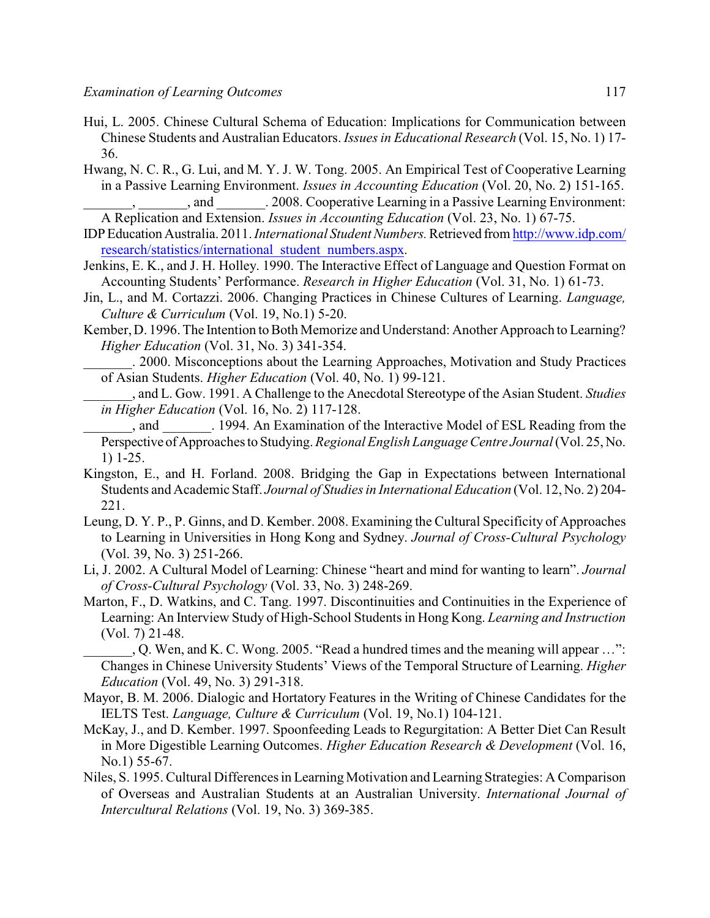- Hui, L. 2005. Chinese Cultural Schema of Education: Implications for Communication between Chinese Students and Australian Educators. *Issues in Educational Research* (Vol. 15, No. 1) 17- 36.
- Hwang, N. C. R., G. Lui, and M. Y. J. W. Tong. 2005. An Empirical Test of Cooperative Learning in a Passive Learning Environment. *Issues in Accounting Education* (Vol. 20, No. 2) 151-165. , and  $\qquad \qquad . 2008$ . Cooperative Learning in a Passive Learning Environment:
- A Replication and Extension. *Issues in Accounting Education* (Vol. 23, No. 1) 67-75.
- IDPEducation Australia. 2011. *International Student Numbers.*Retrieved from [http://www.idp.com/](http://www.idp.com/research/statistics/international_student_numbers.aspx) [research/statistics/international\\_student\\_numbers.aspx](http://www.idp.com/research/statistics/international_student_numbers.aspx).
- Jenkins, E. K., and J. H. Holley. 1990. The Interactive Effect of Language and Question Format on Accounting Students' Performance. *Research in Higher Education* (Vol. 31, No. 1) 61-73.
- Jin, L., and M. Cortazzi. 2006. Changing Practices in Chinese Cultures of Learning. *Language, Culture & Curriculum* (Vol. 19, No.1) 5-20.
- Kember, D. 1996. The Intention to Both Memorize and Understand: Another Approach to Learning? *Higher Education* (Vol. 31, No. 3) 341-354.
- \_\_\_\_\_\_\_. 2000. Misconceptions about the Learning Approaches, Motivation and Study Practices of Asian Students. *Higher Education* (Vol. 40, No. 1) 99-121.
- \_\_\_\_\_\_\_, and L. Gow. 1991. A Challenge to the Anecdotal Stereotype of the Asian Student. *Studies in Higher Education* (Vol. 16, No. 2) 117-128.
- \_\_\_\_\_\_\_, and \_\_\_\_\_\_\_. 1994. An Examination of the Interactive Model of ESL Reading from the Perspective of Approaches to Studying. *Regional English Language Centre Journal* (Vol. 25, No. 1) 1-25.
- Kingston, E., and H. Forland. 2008. Bridging the Gap in Expectations between International Students and Academic Staff. *Journal of Studies in International Education* (Vol. 12, No. 2) 204- 221.
- Leung, D. Y. P., P. Ginns, and D. Kember. 2008. Examining the Cultural Specificity of Approaches to Learning in Universities in Hong Kong and Sydney. *Journal of Cross-Cultural Psychology* (Vol. 39, No. 3) 251-266.
- Li, J. 2002. A Cultural Model of Learning: Chinese "heart and mind for wanting to learn". *Journal of Cross-Cultural Psychology* (Vol. 33, No. 3) 248-269.
- Marton, F., D. Watkins, and C. Tang. 1997. Discontinuities and Continuities in the Experience of Learning: An Interview Study of High-School Students in Hong Kong. *Learning and Instruction* (Vol. 7) 21-48.
	- \_\_\_\_\_\_\_, Q. Wen, and K. C. Wong. 2005. "Read a hundred times and the meaning will appear …": Changes in Chinese University Students' Views of the Temporal Structure of Learning. *Higher Education* (Vol. 49, No. 3) 291-318.
- Mayor, B. M. 2006. Dialogic and Hortatory Features in the Writing of Chinese Candidates for the IELTS Test. *Language, Culture & Curriculum* (Vol. 19, No.1) 104-121.
- McKay, J., and D. Kember. 1997. Spoonfeeding Leads to Regurgitation: A Better Diet Can Result in More Digestible Learning Outcomes. *Higher Education Research & Development* (Vol. 16, No.1) 55-67.
- Niles, S. 1995. Cultural Differences in Learning Motivation and Learning Strategies: A Comparison of Overseas and Australian Students at an Australian University. *International Journal of Intercultural Relations* (Vol. 19, No. 3) 369-385.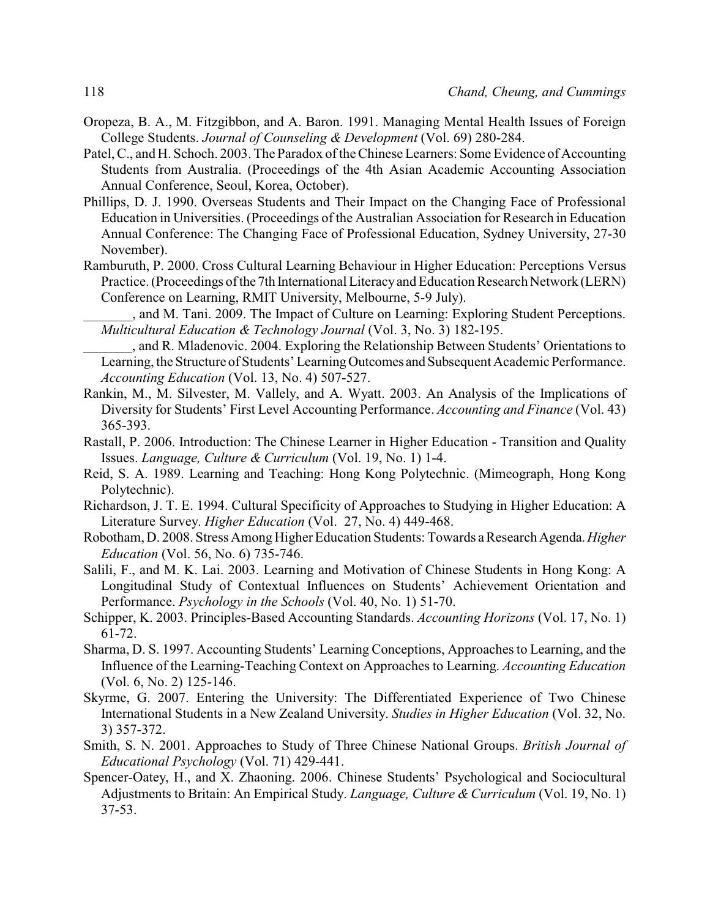- Oropeza, B. A., M. Fitzgibbon, and A. Baron. 1991. Managing Mental Health Issues of Foreign College Students. *Journal of Counseling & Development* (Vol. 69) 280-284.
- Patel, C., and H. Schoch. 2003. The Paradox of the Chinese Learners: Some Evidence of Accounting Students from Australia. (Proceedings of the 4th Asian Academic Accounting Association Annual Conference, Seoul, Korea, October).
- Phillips, D. J. 1990. Overseas Students and Their Impact on the Changing Face of Professional Education in Universities. (Proceedings of the Australian Association for Research in Education Annual Conference: The Changing Face of Professional Education, Sydney University, 27-30 November).
- Ramburuth, P. 2000. Cross Cultural Learning Behaviour in Higher Education: Perceptions Versus Practice. (Proceedings of the 7th International Literacyand Education Research Network (LERN) Conference on Learning, RMIT University, Melbourne, 5-9 July).

\_\_\_\_\_\_\_, and M. Tani. 2009. The Impact of Culture on Learning: Exploring Student Perceptions. *Multicultural Education & Technology Journal* (Vol. 3, No. 3) 182-195.

\_\_\_\_\_\_\_, and R. Mladenovic. 2004. Exploring the Relationship Between Students' Orientations to Learning, the Structure of Students' LearningOutcomes and Subsequent Academic Performance. *Accounting Education* (Vol. 13, No. 4) 507-527.

- Rankin, M., M. Silvester, M. Vallely, and A. Wyatt. 2003. An Analysis of the Implications of Diversity for Students' First Level Accounting Performance. *Accounting and Finance* (Vol. 43) 365-393.
- Rastall, P. 2006. Introduction: The Chinese Learner in Higher Education Transition and Quality Issues. *Language, Culture & Curriculum* (Vol. 19, No. 1) 1-4.
- Reid, S. A. 1989. Learning and Teaching: Hong Kong Polytechnic. (Mimeograph, Hong Kong Polytechnic).
- Richardson, J. T. E. 1994. Cultural Specificity of Approaches to Studying in Higher Education: A Literature Survey. *Higher Education* (Vol. 27, No. 4) 449-468.
- Robotham, D. 2008. Stress AmongHigher Education Students: Towards a Research Agenda.*Higher Education* (Vol. 56, No. 6) 735-746.
- Salili, F., and M. K. Lai. 2003. Learning and Motivation of Chinese Students in Hong Kong: A Longitudinal Study of Contextual Influences on Students' Achievement Orientation and Performance. *Psychology in the Schools* (Vol. 40, No. 1) 51-70.
- Schipper, K. 2003. Principles-Based Accounting Standards. *Accounting Horizons* (Vol. 17, No. 1) 61-72.
- Sharma, D. S. 1997. Accounting Students' Learning Conceptions, Approaches to Learning, and the Influence of the Learning-Teaching Context on Approaches to Learning. *Accounting Education* (Vol. 6, No. 2) 125-146.
- Skyrme, G. 2007. Entering the University: The Differentiated Experience of Two Chinese International Students in a New Zealand University. *Studies in Higher Education* (Vol. 32, No. 3) 357-372.
- Smith, S. N. 2001. Approaches to Study of Three Chinese National Groups. *British Journal of Educational Psychology* (Vol. 71) 429-441.
- Spencer-Oatey, H., and X. Zhaoning. 2006. Chinese Students' Psychological and Sociocultural Adjustments to Britain: An Empirical Study. *Language, Culture & Curriculum* (Vol. 19, No. 1) 37-53.